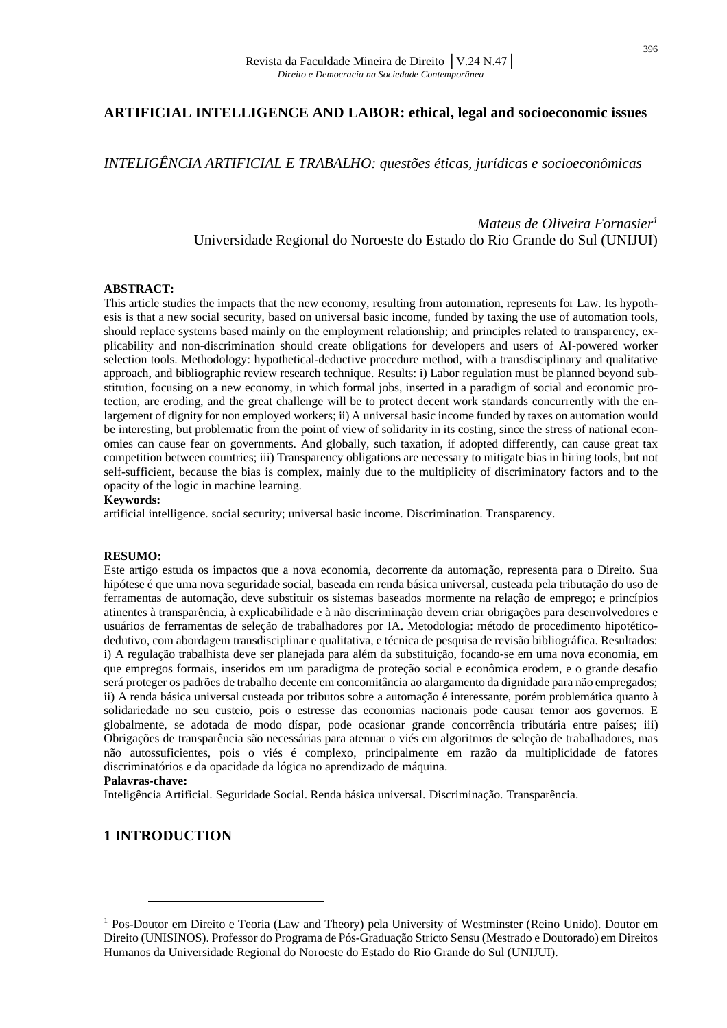## **ARTIFICIAL INTELLIGENCE AND LABOR: ethical, legal and socioeconomic issues**

*INTELIGÊNCIA ARTIFICIAL E TRABALHO: questões éticas, jurídicas e socioeconômicas*

*Mateus de Oliveira Fornasier<sup>1</sup>* Universidade Regional do Noroeste do Estado do Rio Grande do Sul (UNIJUI)

#### **ABSTRACT:**

This article studies the impacts that the new economy, resulting from automation, represents for Law. Its hypothesis is that a new social security, based on universal basic income, funded by taxing the use of automation tools, should replace systems based mainly on the employment relationship; and principles related to transparency, explicability and non-discrimination should create obligations for developers and users of AI-powered worker selection tools. Methodology: hypothetical-deductive procedure method, with a transdisciplinary and qualitative approach, and bibliographic review research technique. Results: i) Labor regulation must be planned beyond substitution, focusing on a new economy, in which formal jobs, inserted in a paradigm of social and economic protection, are eroding, and the great challenge will be to protect decent work standards concurrently with the enlargement of dignity for non employed workers; ii) A universal basic income funded by taxes on automation would be interesting, but problematic from the point of view of solidarity in its costing, since the stress of national economies can cause fear on governments. And globally, such taxation, if adopted differently, can cause great tax competition between countries; iii) Transparency obligations are necessary to mitigate bias in hiring tools, but not self-sufficient, because the bias is complex, mainly due to the multiplicity of discriminatory factors and to the opacity of the logic in machine learning.

#### **Keywords:**

artificial intelligence. social security; universal basic income. Discrimination. Transparency.

#### **RESUMO:**

Este artigo estuda os impactos que a nova economia, decorrente da automação, representa para o Direito. Sua hipótese é que uma nova seguridade social, baseada em renda básica universal, custeada pela tributação do uso de ferramentas de automação, deve substituir os sistemas baseados mormente na relação de emprego; e princípios atinentes à transparência, à explicabilidade e à não discriminação devem criar obrigações para desenvolvedores e usuários de ferramentas de seleção de trabalhadores por IA. Metodologia: método de procedimento hipotéticodedutivo, com abordagem transdisciplinar e qualitativa, e técnica de pesquisa de revisão bibliográfica. Resultados: i) A regulação trabalhista deve ser planejada para além da substituição, focando-se em uma nova economia, em que empregos formais, inseridos em um paradigma de proteção social e econômica erodem, e o grande desafio será proteger os padrões de trabalho decente em concomitância ao alargamento da dignidade para não empregados; ii) A renda básica universal custeada por tributos sobre a automação é interessante, porém problemática quanto à solidariedade no seu custeio, pois o estresse das economias nacionais pode causar temor aos governos. E globalmente, se adotada de modo díspar, pode ocasionar grande concorrência tributária entre países; iii) Obrigações de transparência são necessárias para atenuar o viés em algoritmos de seleção de trabalhadores, mas não autossuficientes, pois o viés é complexo, principalmente em razão da multiplicidade de fatores discriminatórios e da opacidade da lógica no aprendizado de máquina.

#### **Palavras-chave:**

Inteligência Artificial. Seguridade Social. Renda básica universal. Discriminação. Transparência.

# **1 INTRODUCTION**

<sup>&</sup>lt;sup>1</sup> Pos-Doutor em Direito e Teoria (Law and Theory) pela University of Westminster (Reino Unido). Doutor em Direito (UNISINOS). Professor do Programa de Pós-Graduação Stricto Sensu (Mestrado e Doutorado) em Direitos Humanos da Universidade Regional do Noroeste do Estado do Rio Grande do Sul (UNIJUI).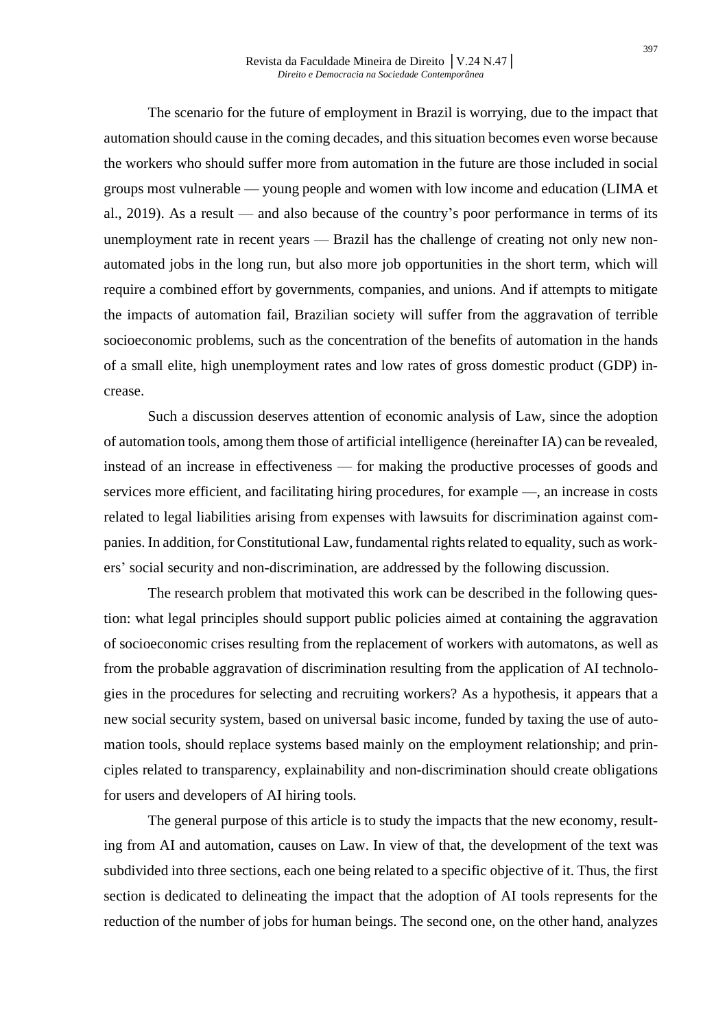The scenario for the future of employment in Brazil is worrying, due to the impact that automation should cause in the coming decades, and this situation becomes even worse because the workers who should suffer more from automation in the future are those included in social groups most vulnerable — young people and women with low income and education (LIMA et al., 2019). As a result — and also because of the country's poor performance in terms of its unemployment rate in recent years — Brazil has the challenge of creating not only new nonautomated jobs in the long run, but also more job opportunities in the short term, which will require a combined effort by governments, companies, and unions. And if attempts to mitigate the impacts of automation fail, Brazilian society will suffer from the aggravation of terrible socioeconomic problems, such as the concentration of the benefits of automation in the hands of a small elite, high unemployment rates and low rates of gross domestic product (GDP) increase.

Such a discussion deserves attention of economic analysis of Law, since the adoption of automation tools, among them those of artificial intelligence (hereinafter IA) can be revealed, instead of an increase in effectiveness — for making the productive processes of goods and services more efficient, and facilitating hiring procedures, for example —, an increase in costs related to legal liabilities arising from expenses with lawsuits for discrimination against companies. In addition, for Constitutional Law, fundamental rights related to equality, such as workers' social security and non-discrimination, are addressed by the following discussion.

The research problem that motivated this work can be described in the following question: what legal principles should support public policies aimed at containing the aggravation of socioeconomic crises resulting from the replacement of workers with automatons, as well as from the probable aggravation of discrimination resulting from the application of AI technologies in the procedures for selecting and recruiting workers? As a hypothesis, it appears that a new social security system, based on universal basic income, funded by taxing the use of automation tools, should replace systems based mainly on the employment relationship; and principles related to transparency, explainability and non-discrimination should create obligations for users and developers of AI hiring tools.

The general purpose of this article is to study the impacts that the new economy, resulting from AI and automation, causes on Law. In view of that, the development of the text was subdivided into three sections, each one being related to a specific objective of it. Thus, the first section is dedicated to delineating the impact that the adoption of AI tools represents for the reduction of the number of jobs for human beings. The second one, on the other hand, analyzes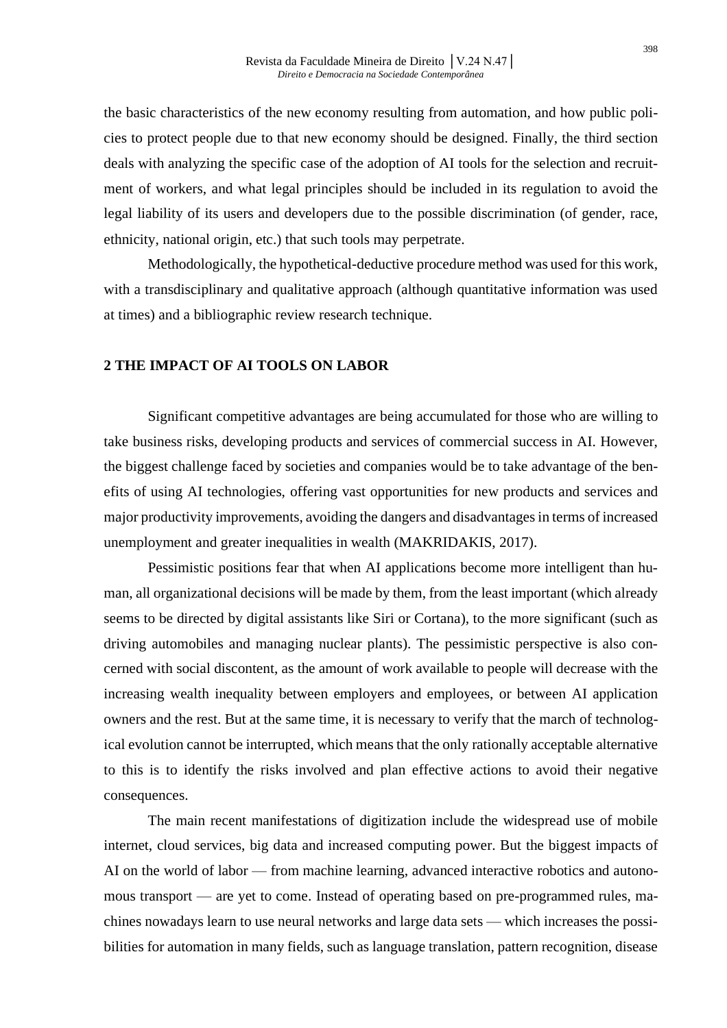the basic characteristics of the new economy resulting from automation, and how public policies to protect people due to that new economy should be designed. Finally, the third section deals with analyzing the specific case of the adoption of AI tools for the selection and recruitment of workers, and what legal principles should be included in its regulation to avoid the legal liability of its users and developers due to the possible discrimination (of gender, race, ethnicity, national origin, etc.) that such tools may perpetrate.

Methodologically, the hypothetical-deductive procedure method was used for this work, with a transdisciplinary and qualitative approach (although quantitative information was used at times) and a bibliographic review research technique.

## **2 THE IMPACT OF AI TOOLS ON LABOR**

Significant competitive advantages are being accumulated for those who are willing to take business risks, developing products and services of commercial success in AI. However, the biggest challenge faced by societies and companies would be to take advantage of the benefits of using AI technologies, offering vast opportunities for new products and services and major productivity improvements, avoiding the dangers and disadvantagesin terms of increased unemployment and greater inequalities in wealth (MAKRIDAKIS, 2017).

Pessimistic positions fear that when AI applications become more intelligent than human, all organizational decisions will be made by them, from the least important (which already seems to be directed by digital assistants like Siri or Cortana), to the more significant (such as driving automobiles and managing nuclear plants). The pessimistic perspective is also concerned with social discontent, as the amount of work available to people will decrease with the increasing wealth inequality between employers and employees, or between AI application owners and the rest. But at the same time, it is necessary to verify that the march of technological evolution cannot be interrupted, which means that the only rationally acceptable alternative to this is to identify the risks involved and plan effective actions to avoid their negative consequences.

The main recent manifestations of digitization include the widespread use of mobile internet, cloud services, big data and increased computing power. But the biggest impacts of AI on the world of labor — from machine learning, advanced interactive robotics and autonomous transport — are yet to come. Instead of operating based on pre-programmed rules, machines nowadays learn to use neural networks and large data sets — which increases the possibilities for automation in many fields, such as language translation, pattern recognition, disease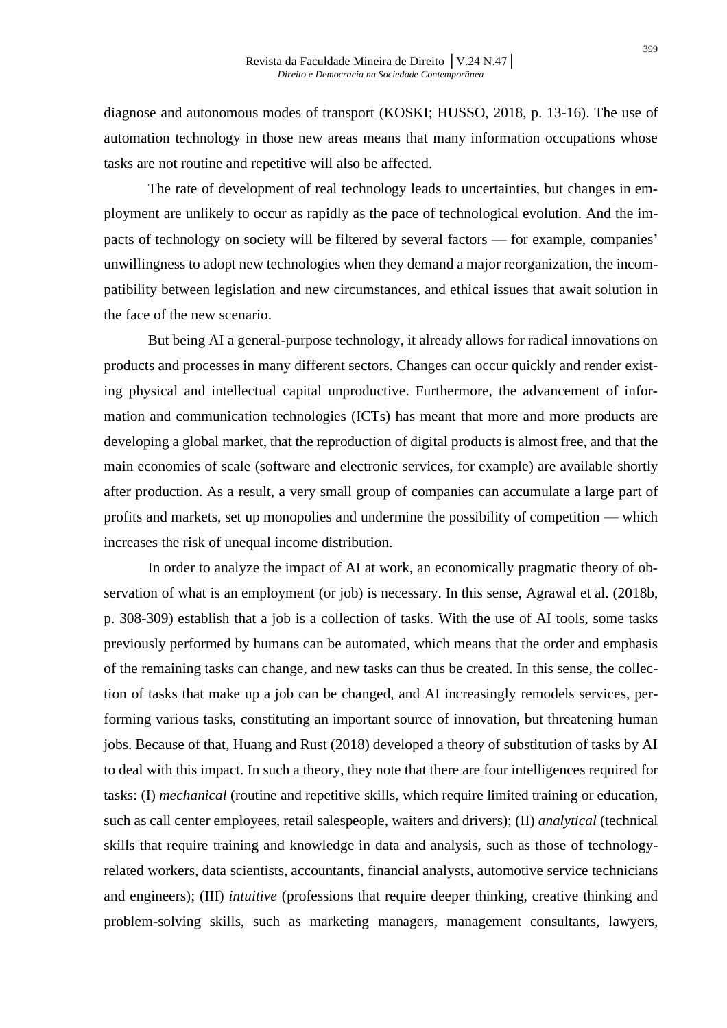diagnose and autonomous modes of transport (KOSKI; HUSSO, 2018, p. 13-16). The use of automation technology in those new areas means that many information occupations whose tasks are not routine and repetitive will also be affected.

The rate of development of real technology leads to uncertainties, but changes in employment are unlikely to occur as rapidly as the pace of technological evolution. And the impacts of technology on society will be filtered by several factors — for example, companies' unwillingness to adopt new technologies when they demand a major reorganization, the incompatibility between legislation and new circumstances, and ethical issues that await solution in the face of the new scenario.

But being AI a general-purpose technology, it already allows for radical innovations on products and processes in many different sectors. Changes can occur quickly and render existing physical and intellectual capital unproductive. Furthermore, the advancement of information and communication technologies (ICTs) has meant that more and more products are developing a global market, that the reproduction of digital products is almost free, and that the main economies of scale (software and electronic services, for example) are available shortly after production. As a result, a very small group of companies can accumulate a large part of profits and markets, set up monopolies and undermine the possibility of competition — which increases the risk of unequal income distribution.

In order to analyze the impact of AI at work, an economically pragmatic theory of observation of what is an employment (or job) is necessary. In this sense, Agrawal et al. (2018b, p. 308-309) establish that a job is a collection of tasks. With the use of AI tools, some tasks previously performed by humans can be automated, which means that the order and emphasis of the remaining tasks can change, and new tasks can thus be created. In this sense, the collection of tasks that make up a job can be changed, and AI increasingly remodels services, performing various tasks, constituting an important source of innovation, but threatening human jobs. Because of that, Huang and Rust (2018) developed a theory of substitution of tasks by AI to deal with this impact. In such a theory, they note that there are four intelligences required for tasks: (I) *mechanical* (routine and repetitive skills, which require limited training or education, such as call center employees, retail salespeople, waiters and drivers); (II) *analytical* (technical skills that require training and knowledge in data and analysis, such as those of technologyrelated workers, data scientists, accountants, financial analysts, automotive service technicians and engineers); (III) *intuitive* (professions that require deeper thinking, creative thinking and problem-solving skills, such as marketing managers, management consultants, lawyers,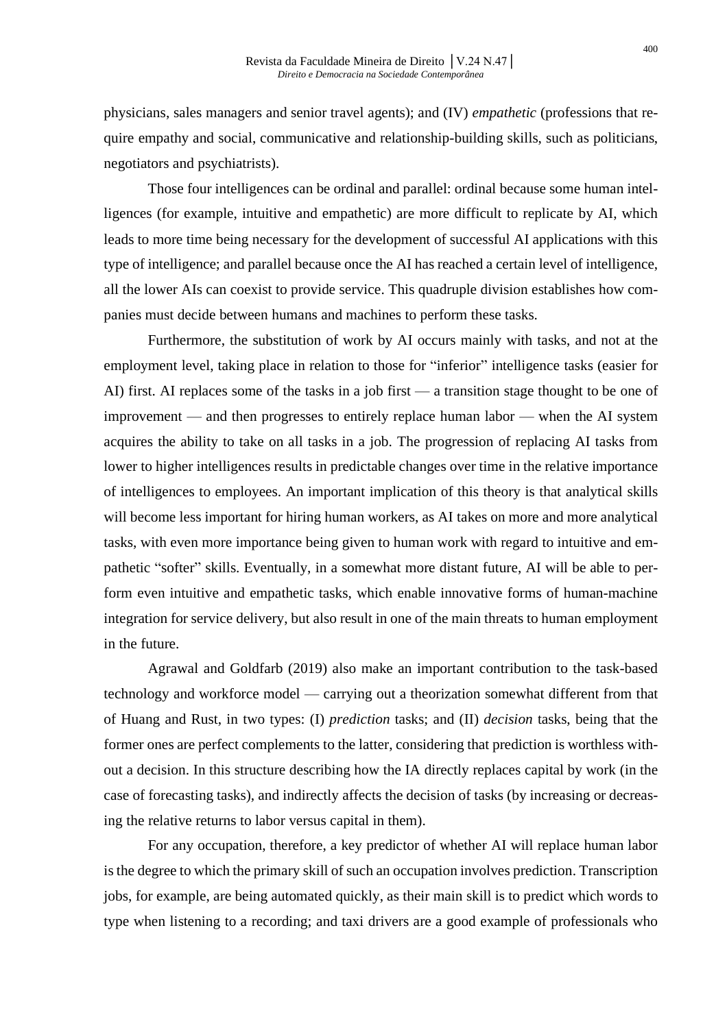physicians, sales managers and senior travel agents); and (IV) *empathetic* (professions that require empathy and social, communicative and relationship-building skills, such as politicians, negotiators and psychiatrists).

Those four intelligences can be ordinal and parallel: ordinal because some human intelligences (for example, intuitive and empathetic) are more difficult to replicate by AI, which leads to more time being necessary for the development of successful AI applications with this type of intelligence; and parallel because once the AI has reached a certain level of intelligence, all the lower AIs can coexist to provide service. This quadruple division establishes how companies must decide between humans and machines to perform these tasks.

Furthermore, the substitution of work by AI occurs mainly with tasks, and not at the employment level, taking place in relation to those for "inferior" intelligence tasks (easier for AI) first. AI replaces some of the tasks in a job first — a transition stage thought to be one of improvement — and then progresses to entirely replace human labor — when the AI system acquires the ability to take on all tasks in a job. The progression of replacing AI tasks from lower to higher intelligences results in predictable changes over time in the relative importance of intelligences to employees. An important implication of this theory is that analytical skills will become less important for hiring human workers, as AI takes on more and more analytical tasks, with even more importance being given to human work with regard to intuitive and empathetic "softer" skills. Eventually, in a somewhat more distant future, AI will be able to perform even intuitive and empathetic tasks, which enable innovative forms of human-machine integration for service delivery, but also result in one of the main threats to human employment in the future.

Agrawal and Goldfarb (2019) also make an important contribution to the task-based technology and workforce model — carrying out a theorization somewhat different from that of Huang and Rust, in two types: (I) *prediction* tasks; and (II) *decision* tasks, being that the former ones are perfect complements to the latter, considering that prediction is worthless without a decision. In this structure describing how the IA directly replaces capital by work (in the case of forecasting tasks), and indirectly affects the decision of tasks (by increasing or decreasing the relative returns to labor versus capital in them).

For any occupation, therefore, a key predictor of whether AI will replace human labor isthe degree to which the primary skill of such an occupation involves prediction. Transcription jobs, for example, are being automated quickly, as their main skill is to predict which words to type when listening to a recording; and taxi drivers are a good example of professionals who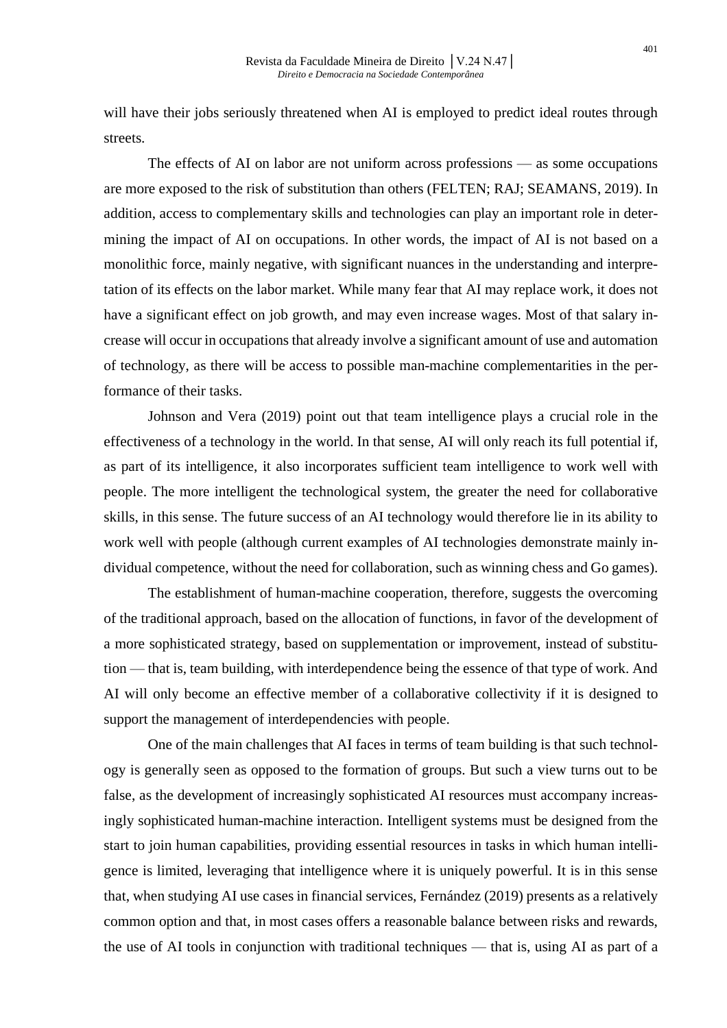will have their jobs seriously threatened when AI is employed to predict ideal routes through streets.

The effects of AI on labor are not uniform across professions — as some occupations are more exposed to the risk of substitution than others (FELTEN; RAJ; SEAMANS, 2019). In addition, access to complementary skills and technologies can play an important role in determining the impact of AI on occupations. In other words, the impact of AI is not based on a monolithic force, mainly negative, with significant nuances in the understanding and interpretation of its effects on the labor market. While many fear that AI may replace work, it does not have a significant effect on job growth, and may even increase wages. Most of that salary increase will occur in occupations that already involve a significant amount of use and automation of technology, as there will be access to possible man-machine complementarities in the performance of their tasks.

Johnson and Vera (2019) point out that team intelligence plays a crucial role in the effectiveness of a technology in the world. In that sense, AI will only reach its full potential if, as part of its intelligence, it also incorporates sufficient team intelligence to work well with people. The more intelligent the technological system, the greater the need for collaborative skills, in this sense. The future success of an AI technology would therefore lie in its ability to work well with people (although current examples of AI technologies demonstrate mainly individual competence, without the need for collaboration, such as winning chess and Go games).

The establishment of human-machine cooperation, therefore, suggests the overcoming of the traditional approach, based on the allocation of functions, in favor of the development of a more sophisticated strategy, based on supplementation or improvement, instead of substitution — that is, team building, with interdependence being the essence of that type of work. And AI will only become an effective member of a collaborative collectivity if it is designed to support the management of interdependencies with people.

One of the main challenges that AI faces in terms of team building is that such technology is generally seen as opposed to the formation of groups. But such a view turns out to be false, as the development of increasingly sophisticated AI resources must accompany increasingly sophisticated human-machine interaction. Intelligent systems must be designed from the start to join human capabilities, providing essential resources in tasks in which human intelligence is limited, leveraging that intelligence where it is uniquely powerful. It is in this sense that, when studying AI use cases in financial services, Fernández (2019) presents as a relatively common option and that, in most cases offers a reasonable balance between risks and rewards, the use of AI tools in conjunction with traditional techniques — that is, using AI as part of a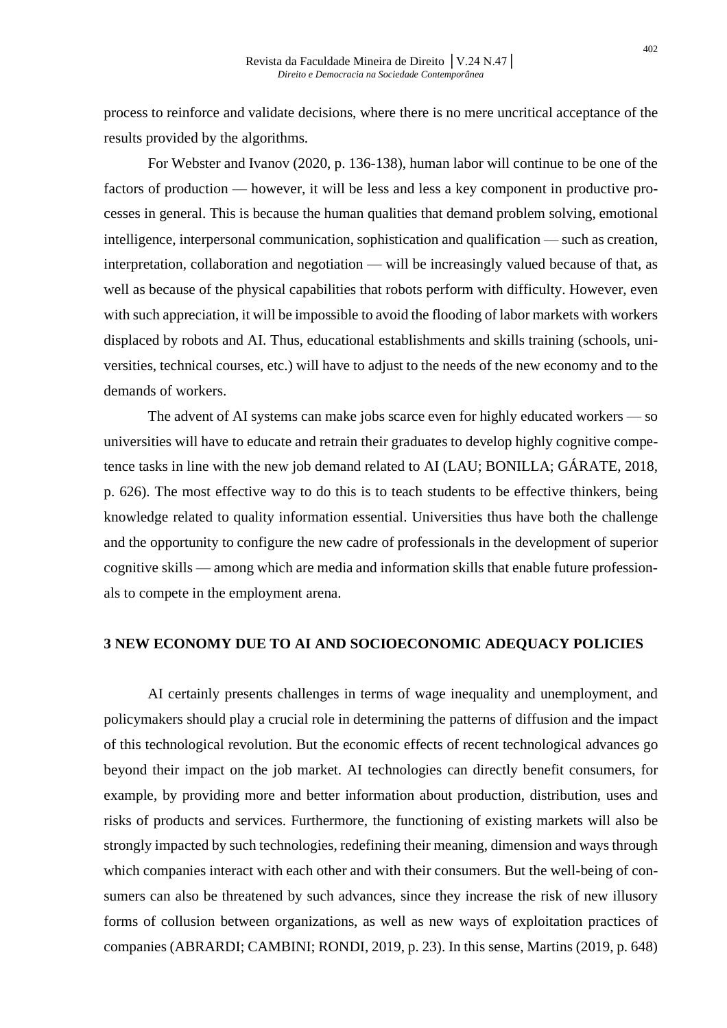process to reinforce and validate decisions, where there is no mere uncritical acceptance of the results provided by the algorithms.

For Webster and Ivanov (2020, p. 136-138), human labor will continue to be one of the factors of production — however, it will be less and less a key component in productive processes in general. This is because the human qualities that demand problem solving, emotional intelligence, interpersonal communication, sophistication and qualification — such as creation, interpretation, collaboration and negotiation — will be increasingly valued because of that, as well as because of the physical capabilities that robots perform with difficulty. However, even with such appreciation, it will be impossible to avoid the flooding of labor markets with workers displaced by robots and AI. Thus, educational establishments and skills training (schools, universities, technical courses, etc.) will have to adjust to the needs of the new economy and to the demands of workers.

The advent of AI systems can make jobs scarce even for highly educated workers — so universities will have to educate and retrain their graduates to develop highly cognitive competence tasks in line with the new job demand related to AI (LAU; BONILLA; GÁRATE, 2018, p. 626). The most effective way to do this is to teach students to be effective thinkers, being knowledge related to quality information essential. Universities thus have both the challenge and the opportunity to configure the new cadre of professionals in the development of superior cognitive skills — among which are media and information skills that enable future professionals to compete in the employment arena.

# **3 NEW ECONOMY DUE TO AI AND SOCIOECONOMIC ADEQUACY POLICIES**

AI certainly presents challenges in terms of wage inequality and unemployment, and policymakers should play a crucial role in determining the patterns of diffusion and the impact of this technological revolution. But the economic effects of recent technological advances go beyond their impact on the job market. AI technologies can directly benefit consumers, for example, by providing more and better information about production, distribution, uses and risks of products and services. Furthermore, the functioning of existing markets will also be strongly impacted by such technologies, redefining their meaning, dimension and waysthrough which companies interact with each other and with their consumers. But the well-being of consumers can also be threatened by such advances, since they increase the risk of new illusory forms of collusion between organizations, as well as new ways of exploitation practices of companies (ABRARDI; CAMBINI; RONDI, 2019, p. 23). In this sense, Martins (2019, p. 648)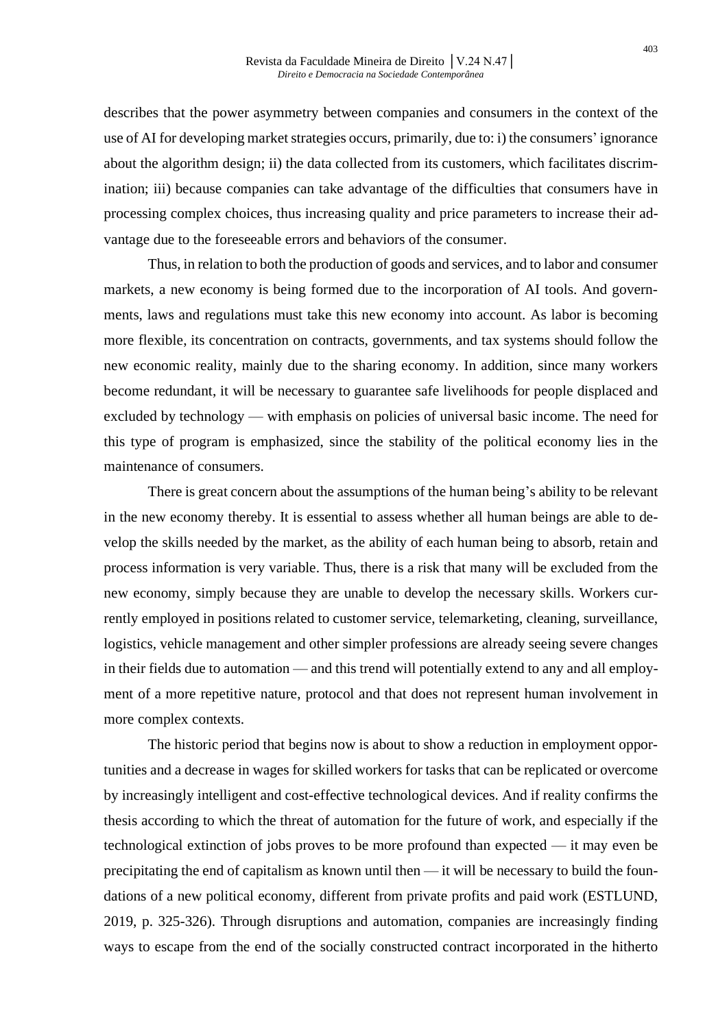describes that the power asymmetry between companies and consumers in the context of the use of AI for developing market strategies occurs, primarily, due to: i) the consumers' ignorance about the algorithm design; ii) the data collected from its customers, which facilitates discrimination; iii) because companies can take advantage of the difficulties that consumers have in processing complex choices, thus increasing quality and price parameters to increase their advantage due to the foreseeable errors and behaviors of the consumer.

Thus, in relation to both the production of goods and services, and to labor and consumer markets, a new economy is being formed due to the incorporation of AI tools. And governments, laws and regulations must take this new economy into account. As labor is becoming more flexible, its concentration on contracts, governments, and tax systems should follow the new economic reality, mainly due to the sharing economy. In addition, since many workers become redundant, it will be necessary to guarantee safe livelihoods for people displaced and excluded by technology — with emphasis on policies of universal basic income. The need for this type of program is emphasized, since the stability of the political economy lies in the maintenance of consumers.

There is great concern about the assumptions of the human being's ability to be relevant in the new economy thereby. It is essential to assess whether all human beings are able to develop the skills needed by the market, as the ability of each human being to absorb, retain and process information is very variable. Thus, there is a risk that many will be excluded from the new economy, simply because they are unable to develop the necessary skills. Workers currently employed in positions related to customer service, telemarketing, cleaning, surveillance, logistics, vehicle management and other simpler professions are already seeing severe changes in their fields due to automation — and this trend will potentially extend to any and all employment of a more repetitive nature, protocol and that does not represent human involvement in more complex contexts.

The historic period that begins now is about to show a reduction in employment opportunities and a decrease in wages for skilled workers for tasks that can be replicated or overcome by increasingly intelligent and cost-effective technological devices. And if reality confirms the thesis according to which the threat of automation for the future of work, and especially if the technological extinction of jobs proves to be more profound than expected — it may even be precipitating the end of capitalism as known until then — it will be necessary to build the foundations of a new political economy, different from private profits and paid work (ESTLUND, 2019, p. 325-326). Through disruptions and automation, companies are increasingly finding ways to escape from the end of the socially constructed contract incorporated in the hitherto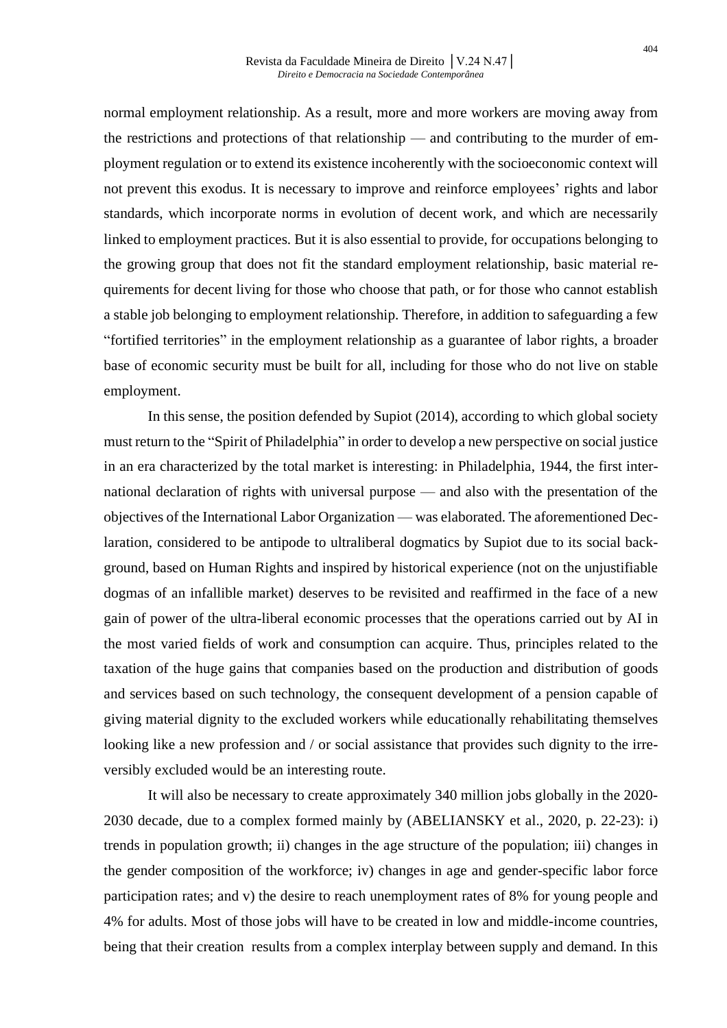normal employment relationship. As a result, more and more workers are moving away from the restrictions and protections of that relationship — and contributing to the murder of employment regulation or to extend its existence incoherently with the socioeconomic context will not prevent this exodus. It is necessary to improve and reinforce employees' rights and labor standards, which incorporate norms in evolution of decent work, and which are necessarily linked to employment practices. But it is also essential to provide, for occupations belonging to the growing group that does not fit the standard employment relationship, basic material requirements for decent living for those who choose that path, or for those who cannot establish a stable job belonging to employment relationship. Therefore, in addition to safeguarding a few "fortified territories" in the employment relationship as a guarantee of labor rights, a broader base of economic security must be built for all, including for those who do not live on stable employment.

In this sense, the position defended by Supiot (2014), according to which global society must return to the "Spirit of Philadelphia" in order to develop a new perspective on social justice in an era characterized by the total market is interesting: in Philadelphia, 1944, the first international declaration of rights with universal purpose — and also with the presentation of the objectives of the International Labor Organization — was elaborated. The aforementioned Declaration, considered to be antipode to ultraliberal dogmatics by Supiot due to its social background, based on Human Rights and inspired by historical experience (not on the unjustifiable dogmas of an infallible market) deserves to be revisited and reaffirmed in the face of a new gain of power of the ultra-liberal economic processes that the operations carried out by AI in the most varied fields of work and consumption can acquire. Thus, principles related to the taxation of the huge gains that companies based on the production and distribution of goods and services based on such technology, the consequent development of a pension capable of giving material dignity to the excluded workers while educationally rehabilitating themselves looking like a new profession and / or social assistance that provides such dignity to the irreversibly excluded would be an interesting route.

It will also be necessary to create approximately 340 million jobs globally in the 2020- 2030 decade, due to a complex formed mainly by (ABELIANSKY et al., 2020, p. 22-23): i) trends in population growth; ii) changes in the age structure of the population; iii) changes in the gender composition of the workforce; iv) changes in age and gender-specific labor force participation rates; and v) the desire to reach unemployment rates of 8% for young people and 4% for adults. Most of those jobs will have to be created in low and middle-income countries, being that their creation results from a complex interplay between supply and demand. In this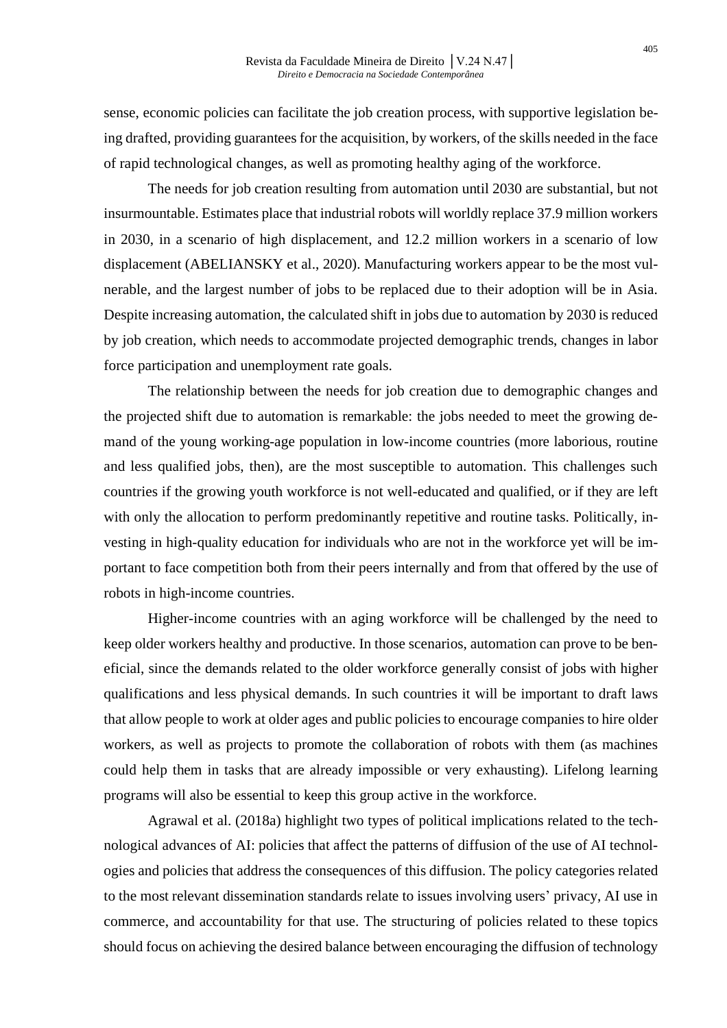sense, economic policies can facilitate the job creation process, with supportive legislation being drafted, providing guarantees for the acquisition, by workers, of the skills needed in the face of rapid technological changes, as well as promoting healthy aging of the workforce.

The needs for job creation resulting from automation until 2030 are substantial, but not insurmountable. Estimates place that industrial robots will worldly replace 37.9 million workers in 2030, in a scenario of high displacement, and 12.2 million workers in a scenario of low displacement (ABELIANSKY et al., 2020). Manufacturing workers appear to be the most vulnerable, and the largest number of jobs to be replaced due to their adoption will be in Asia. Despite increasing automation, the calculated shift in jobs due to automation by 2030 is reduced by job creation, which needs to accommodate projected demographic trends, changes in labor force participation and unemployment rate goals.

The relationship between the needs for job creation due to demographic changes and the projected shift due to automation is remarkable: the jobs needed to meet the growing demand of the young working-age population in low-income countries (more laborious, routine and less qualified jobs, then), are the most susceptible to automation. This challenges such countries if the growing youth workforce is not well-educated and qualified, or if they are left with only the allocation to perform predominantly repetitive and routine tasks. Politically, investing in high-quality education for individuals who are not in the workforce yet will be important to face competition both from their peers internally and from that offered by the use of robots in high-income countries.

Higher-income countries with an aging workforce will be challenged by the need to keep older workers healthy and productive. In those scenarios, automation can prove to be beneficial, since the demands related to the older workforce generally consist of jobs with higher qualifications and less physical demands. In such countries it will be important to draft laws that allow people to work at older ages and public policies to encourage companies to hire older workers, as well as projects to promote the collaboration of robots with them (as machines could help them in tasks that are already impossible or very exhausting). Lifelong learning programs will also be essential to keep this group active in the workforce.

Agrawal et al. (2018a) highlight two types of political implications related to the technological advances of AI: policies that affect the patterns of diffusion of the use of AI technologies and policies that address the consequences of this diffusion. The policy categories related to the most relevant dissemination standards relate to issues involving users' privacy, AI use in commerce, and accountability for that use. The structuring of policies related to these topics should focus on achieving the desired balance between encouraging the diffusion of technology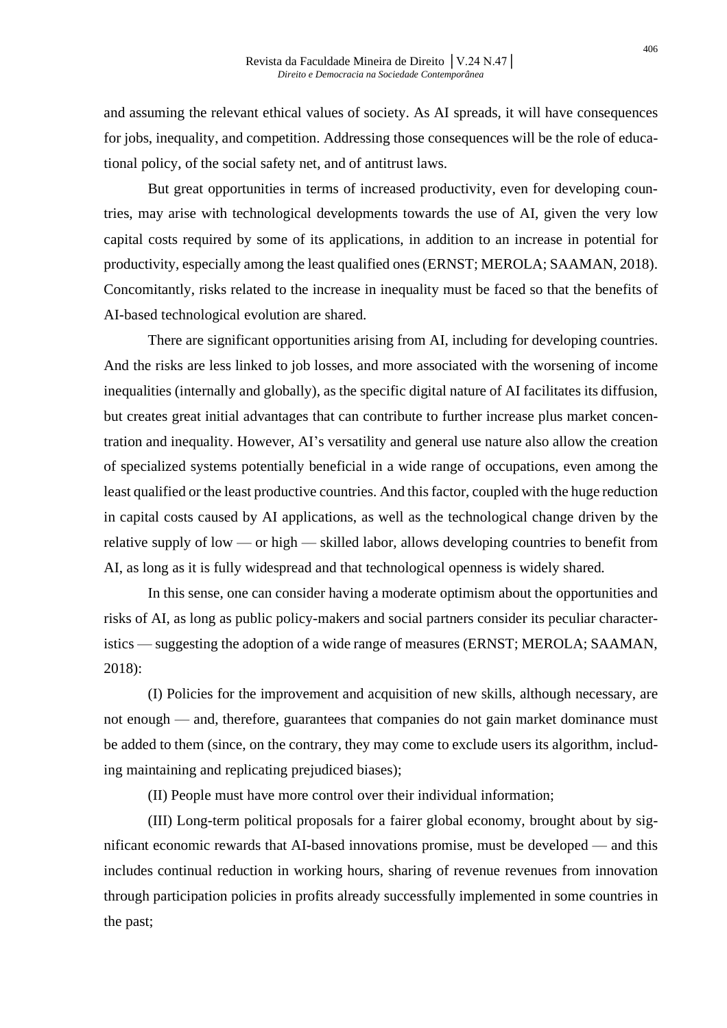and assuming the relevant ethical values of society. As AI spreads, it will have consequences for jobs, inequality, and competition. Addressing those consequences will be the role of educational policy, of the social safety net, and of antitrust laws.

But great opportunities in terms of increased productivity, even for developing countries, may arise with technological developments towards the use of AI, given the very low capital costs required by some of its applications, in addition to an increase in potential for productivity, especially among the least qualified ones (ERNST; MEROLA; SAAMAN, 2018). Concomitantly, risks related to the increase in inequality must be faced so that the benefits of AI-based technological evolution are shared.

There are significant opportunities arising from AI, including for developing countries. And the risks are less linked to job losses, and more associated with the worsening of income inequalities (internally and globally), as the specific digital nature of AI facilitates its diffusion, but creates great initial advantages that can contribute to further increase plus market concentration and inequality. However, AI's versatility and general use nature also allow the creation of specialized systems potentially beneficial in a wide range of occupations, even among the least qualified or the least productive countries. And thisfactor, coupled with the huge reduction in capital costs caused by AI applications, as well as the technological change driven by the relative supply of low — or high — skilled labor, allows developing countries to benefit from AI, as long as it is fully widespread and that technological openness is widely shared.

In this sense, one can consider having a moderate optimism about the opportunities and risks of AI, as long as public policy-makers and social partners consider its peculiar characteristics — suggesting the adoption of a wide range of measures (ERNST; MEROLA; SAAMAN, 2018):

(I) Policies for the improvement and acquisition of new skills, although necessary, are not enough — and, therefore, guarantees that companies do not gain market dominance must be added to them (since, on the contrary, they may come to exclude users its algorithm, including maintaining and replicating prejudiced biases);

(II) People must have more control over their individual information;

(III) Long-term political proposals for a fairer global economy, brought about by significant economic rewards that AI-based innovations promise, must be developed — and this includes continual reduction in working hours, sharing of revenue revenues from innovation through participation policies in profits already successfully implemented in some countries in the past;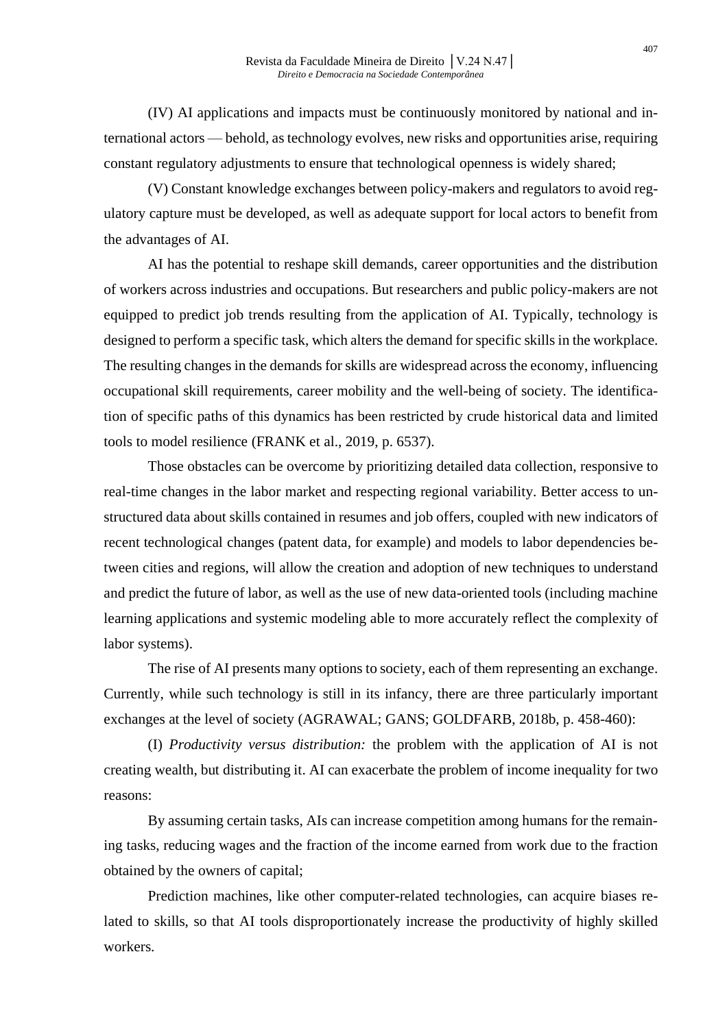(IV) AI applications and impacts must be continuously monitored by national and international actors — behold, astechnology evolves, new risks and opportunities arise, requiring constant regulatory adjustments to ensure that technological openness is widely shared;

(V) Constant knowledge exchanges between policy-makers and regulators to avoid regulatory capture must be developed, as well as adequate support for local actors to benefit from the advantages of AI.

AI has the potential to reshape skill demands, career opportunities and the distribution of workers across industries and occupations. But researchers and public policy-makers are not equipped to predict job trends resulting from the application of AI. Typically, technology is designed to perform a specific task, which alters the demand for specific skills in the workplace. The resulting changes in the demands for skills are widespread across the economy, influencing occupational skill requirements, career mobility and the well-being of society. The identification of specific paths of this dynamics has been restricted by crude historical data and limited tools to model resilience (FRANK et al., 2019, p. 6537).

Those obstacles can be overcome by prioritizing detailed data collection, responsive to real-time changes in the labor market and respecting regional variability. Better access to unstructured data about skills contained in resumes and job offers, coupled with new indicators of recent technological changes (patent data, for example) and models to labor dependencies between cities and regions, will allow the creation and adoption of new techniques to understand and predict the future of labor, as well as the use of new data-oriented tools (including machine learning applications and systemic modeling able to more accurately reflect the complexity of labor systems).

The rise of AI presents many options to society, each of them representing an exchange. Currently, while such technology is still in its infancy, there are three particularly important exchanges at the level of society (AGRAWAL; GANS; GOLDFARB, 2018b, p. 458-460):

(I) *Productivity versus distribution:* the problem with the application of AI is not creating wealth, but distributing it. AI can exacerbate the problem of income inequality for two reasons:

By assuming certain tasks, AIs can increase competition among humans for the remaining tasks, reducing wages and the fraction of the income earned from work due to the fraction obtained by the owners of capital;

Prediction machines, like other computer-related technologies, can acquire biases related to skills, so that AI tools disproportionately increase the productivity of highly skilled workers.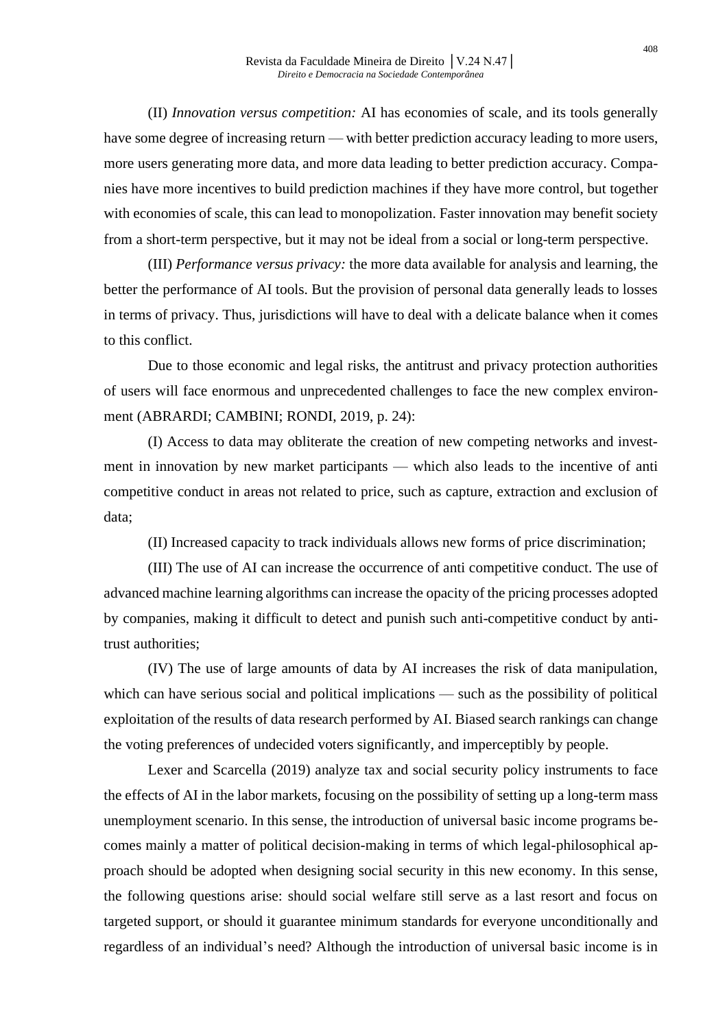(II) *Innovation versus competition:* AI has economies of scale, and its tools generally have some degree of increasing return — with better prediction accuracy leading to more users, more users generating more data, and more data leading to better prediction accuracy. Companies have more incentives to build prediction machines if they have more control, but together with economies of scale, this can lead to monopolization. Faster innovation may benefit society from a short-term perspective, but it may not be ideal from a social or long-term perspective.

(III) *Performance versus privacy:* the more data available for analysis and learning, the better the performance of AI tools. But the provision of personal data generally leads to losses in terms of privacy. Thus, jurisdictions will have to deal with a delicate balance when it comes to this conflict.

Due to those economic and legal risks, the antitrust and privacy protection authorities of users will face enormous and unprecedented challenges to face the new complex environment (ABRARDI; CAMBINI; RONDI, 2019, p. 24):

(I) Access to data may obliterate the creation of new competing networks and investment in innovation by new market participants — which also leads to the incentive of anti competitive conduct in areas not related to price, such as capture, extraction and exclusion of data;

(II) Increased capacity to track individuals allows new forms of price discrimination;

(III) The use of AI can increase the occurrence of anti competitive conduct. The use of advanced machine learning algorithms can increase the opacity of the pricing processes adopted by companies, making it difficult to detect and punish such anti-competitive conduct by antitrust authorities;

(IV) The use of large amounts of data by AI increases the risk of data manipulation, which can have serious social and political implications — such as the possibility of political exploitation of the results of data research performed by AI. Biased search rankings can change the voting preferences of undecided voters significantly, and imperceptibly by people.

Lexer and Scarcella (2019) analyze tax and social security policy instruments to face the effects of AI in the labor markets, focusing on the possibility of setting up a long-term mass unemployment scenario. In this sense, the introduction of universal basic income programs becomes mainly a matter of political decision-making in terms of which legal-philosophical approach should be adopted when designing social security in this new economy. In this sense, the following questions arise: should social welfare still serve as a last resort and focus on targeted support, or should it guarantee minimum standards for everyone unconditionally and regardless of an individual's need? Although the introduction of universal basic income is in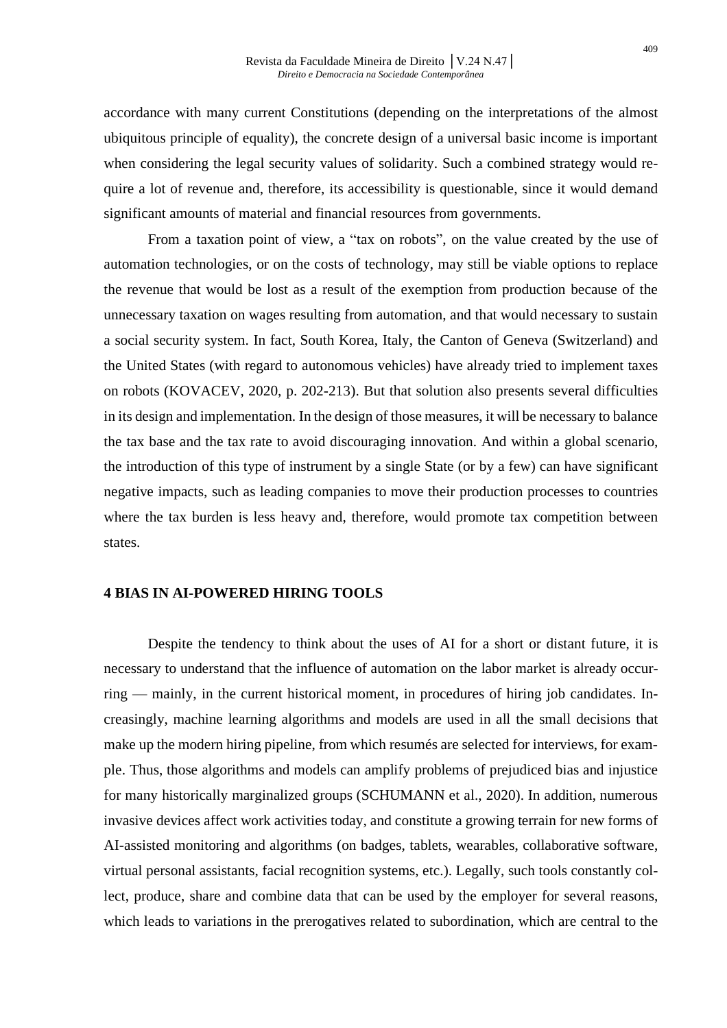accordance with many current Constitutions (depending on the interpretations of the almost ubiquitous principle of equality), the concrete design of a universal basic income is important when considering the legal security values of solidarity. Such a combined strategy would require a lot of revenue and, therefore, its accessibility is questionable, since it would demand significant amounts of material and financial resources from governments.

From a taxation point of view, a "tax on robots", on the value created by the use of automation technologies, or on the costs of technology, may still be viable options to replace the revenue that would be lost as a result of the exemption from production because of the unnecessary taxation on wages resulting from automation, and that would necessary to sustain a social security system. In fact, South Korea, Italy, the Canton of Geneva (Switzerland) and the United States (with regard to autonomous vehicles) have already tried to implement taxes on robots (KOVACEV, 2020, p. 202-213). But that solution also presents several difficulties in its design and implementation. In the design of those measures, it will be necessary to balance the tax base and the tax rate to avoid discouraging innovation. And within a global scenario, the introduction of this type of instrument by a single State (or by a few) can have significant negative impacts, such as leading companies to move their production processes to countries where the tax burden is less heavy and, therefore, would promote tax competition between states.

### **4 BIAS IN AI-POWERED HIRING TOOLS**

Despite the tendency to think about the uses of AI for a short or distant future, it is necessary to understand that the influence of automation on the labor market is already occurring — mainly, in the current historical moment, in procedures of hiring job candidates. Increasingly, machine learning algorithms and models are used in all the small decisions that make up the modern hiring pipeline, from which resumés are selected for interviews, for example. Thus, those algorithms and models can amplify problems of prejudiced bias and injustice for many historically marginalized groups (SCHUMANN et al., 2020). In addition, numerous invasive devices affect work activities today, and constitute a growing terrain for new forms of AI-assisted monitoring and algorithms (on badges, tablets, wearables, collaborative software, virtual personal assistants, facial recognition systems, etc.). Legally, such tools constantly collect, produce, share and combine data that can be used by the employer for several reasons, which leads to variations in the prerogatives related to subordination, which are central to the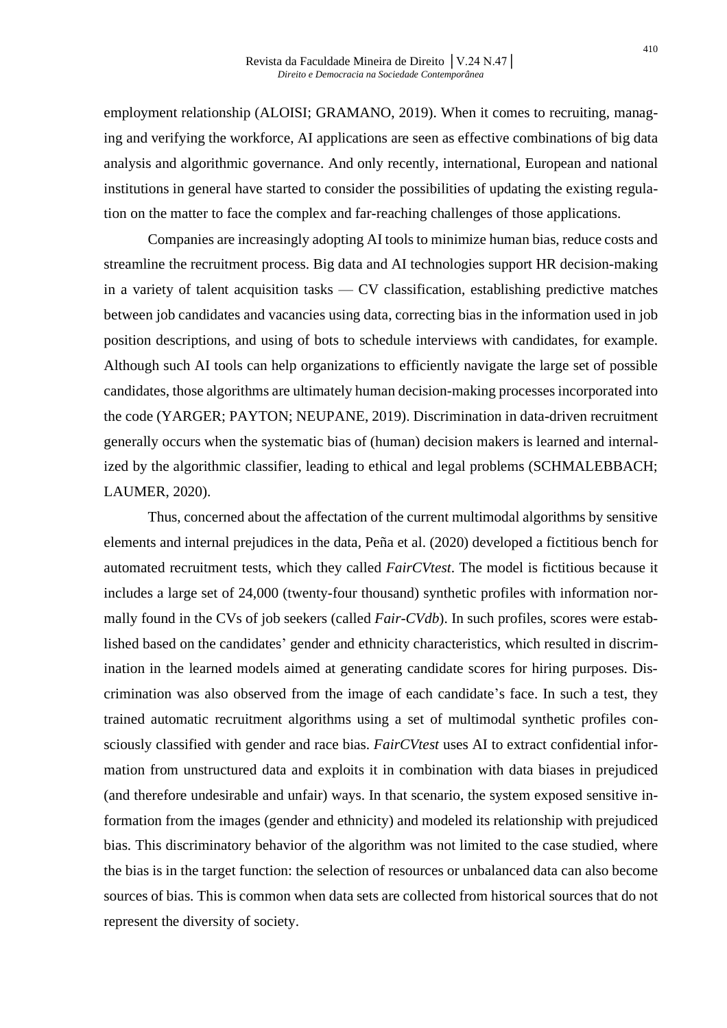employment relationship (ALOISI; GRAMANO, 2019). When it comes to recruiting, managing and verifying the workforce, AI applications are seen as effective combinations of big data analysis and algorithmic governance. And only recently, international, European and national institutions in general have started to consider the possibilities of updating the existing regulation on the matter to face the complex and far-reaching challenges of those applications.

Companies are increasingly adopting AI tools to minimize human bias, reduce costs and streamline the recruitment process. Big data and AI technologies support HR decision-making in a variety of talent acquisition tasks — CV classification, establishing predictive matches between job candidates and vacancies using data, correcting bias in the information used in job position descriptions, and using of bots to schedule interviews with candidates, for example. Although such AI tools can help organizations to efficiently navigate the large set of possible candidates, those algorithms are ultimately human decision-making processes incorporated into the code (YARGER; PAYTON; NEUPANE, 2019). Discrimination in data-driven recruitment generally occurs when the systematic bias of (human) decision makers is learned and internalized by the algorithmic classifier, leading to ethical and legal problems (SCHMALEBBACH; LAUMER, 2020).

Thus, concerned about the affectation of the current multimodal algorithms by sensitive elements and internal prejudices in the data, Peña et al. (2020) developed a fictitious bench for automated recruitment tests, which they called *FairCVtest*. The model is fictitious because it includes a large set of 24,000 (twenty-four thousand) synthetic profiles with information normally found in the CVs of job seekers (called *Fair-CVdb*). In such profiles, scores were established based on the candidates' gender and ethnicity characteristics, which resulted in discrimination in the learned models aimed at generating candidate scores for hiring purposes. Discrimination was also observed from the image of each candidate's face. In such a test, they trained automatic recruitment algorithms using a set of multimodal synthetic profiles consciously classified with gender and race bias. *FairCVtest* uses AI to extract confidential information from unstructured data and exploits it in combination with data biases in prejudiced (and therefore undesirable and unfair) ways. In that scenario, the system exposed sensitive information from the images (gender and ethnicity) and modeled its relationship with prejudiced bias. This discriminatory behavior of the algorithm was not limited to the case studied, where the bias is in the target function: the selection of resources or unbalanced data can also become sources of bias. This is common when data sets are collected from historical sources that do not represent the diversity of society.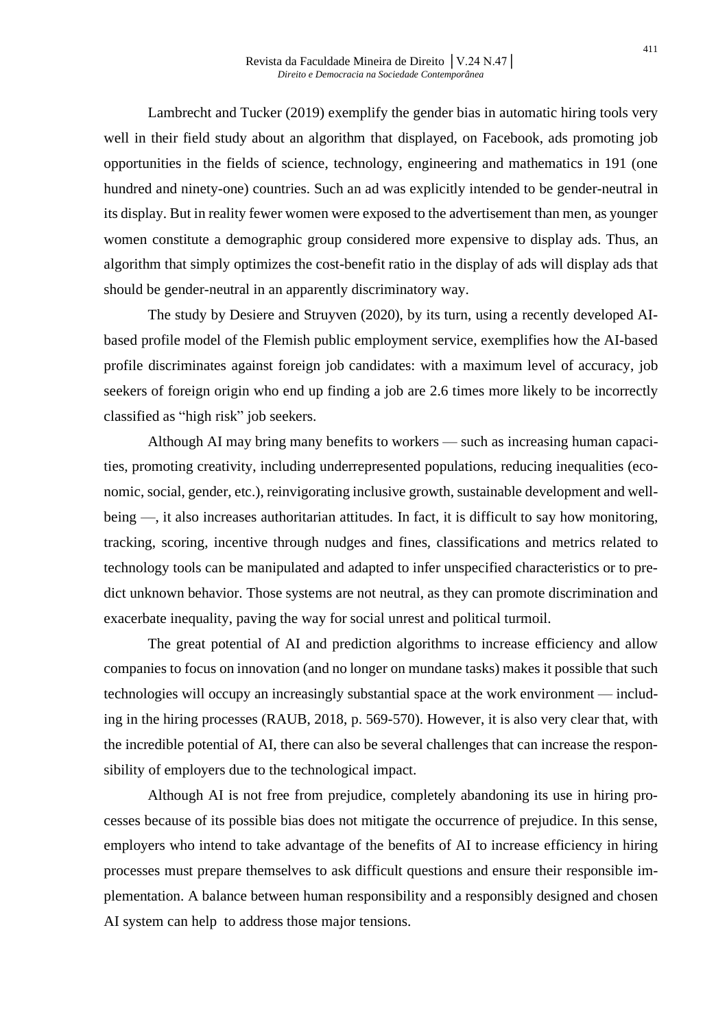Lambrecht and Tucker (2019) exemplify the gender bias in automatic hiring tools very well in their field study about an algorithm that displayed, on Facebook, ads promoting job opportunities in the fields of science, technology, engineering and mathematics in 191 (one hundred and ninety-one) countries. Such an ad was explicitly intended to be gender-neutral in its display. But in reality fewer women were exposed to the advertisement than men, as younger women constitute a demographic group considered more expensive to display ads. Thus, an algorithm that simply optimizes the cost-benefit ratio in the display of ads will display ads that should be gender-neutral in an apparently discriminatory way.

The study by Desiere and Struyven (2020), by its turn, using a recently developed AIbased profile model of the Flemish public employment service, exemplifies how the AI-based profile discriminates against foreign job candidates: with a maximum level of accuracy, job seekers of foreign origin who end up finding a job are 2.6 times more likely to be incorrectly classified as "high risk" job seekers.

Although AI may bring many benefits to workers — such as increasing human capacities, promoting creativity, including underrepresented populations, reducing inequalities (economic, social, gender, etc.), reinvigorating inclusive growth, sustainable development and wellbeing —, it also increases authoritarian attitudes. In fact, it is difficult to say how monitoring, tracking, scoring, incentive through nudges and fines, classifications and metrics related to technology tools can be manipulated and adapted to infer unspecified characteristics or to predict unknown behavior. Those systems are not neutral, as they can promote discrimination and exacerbate inequality, paving the way for social unrest and political turmoil.

The great potential of AI and prediction algorithms to increase efficiency and allow companies to focus on innovation (and no longer on mundane tasks) makes it possible that such technologies will occupy an increasingly substantial space at the work environment — including in the hiring processes (RAUB, 2018, p. 569-570). However, it is also very clear that, with the incredible potential of AI, there can also be several challenges that can increase the responsibility of employers due to the technological impact.

Although AI is not free from prejudice, completely abandoning its use in hiring processes because of its possible bias does not mitigate the occurrence of prejudice. In this sense, employers who intend to take advantage of the benefits of AI to increase efficiency in hiring processes must prepare themselves to ask difficult questions and ensure their responsible implementation. A balance between human responsibility and a responsibly designed and chosen AI system can help to address those major tensions.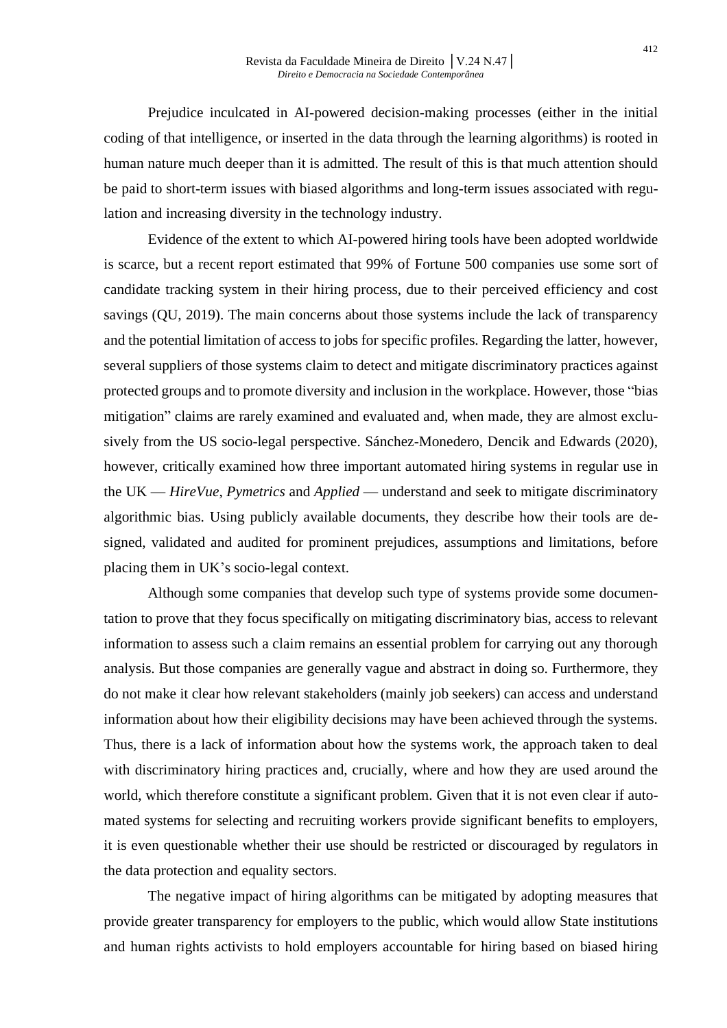Prejudice inculcated in AI-powered decision-making processes (either in the initial coding of that intelligence, or inserted in the data through the learning algorithms) is rooted in human nature much deeper than it is admitted. The result of this is that much attention should be paid to short-term issues with biased algorithms and long-term issues associated with regulation and increasing diversity in the technology industry.

Evidence of the extent to which AI-powered hiring tools have been adopted worldwide is scarce, but a recent report estimated that 99% of Fortune 500 companies use some sort of candidate tracking system in their hiring process, due to their perceived efficiency and cost savings (QU, 2019). The main concerns about those systems include the lack of transparency and the potential limitation of access to jobs for specific profiles. Regarding the latter, however, several suppliers of those systems claim to detect and mitigate discriminatory practices against protected groups and to promote diversity and inclusion in the workplace. However, those "bias mitigation" claims are rarely examined and evaluated and, when made, they are almost exclusively from the US socio-legal perspective. Sánchez-Monedero, Dencik and Edwards (2020), however, critically examined how three important automated hiring systems in regular use in the UK — *HireVue*, *Pymetrics* and *Applied* — understand and seek to mitigate discriminatory algorithmic bias. Using publicly available documents, they describe how their tools are designed, validated and audited for prominent prejudices, assumptions and limitations, before placing them in UK's socio-legal context.

Although some companies that develop such type of systems provide some documentation to prove that they focus specifically on mitigating discriminatory bias, access to relevant information to assess such a claim remains an essential problem for carrying out any thorough analysis. But those companies are generally vague and abstract in doing so. Furthermore, they do not make it clear how relevant stakeholders (mainly job seekers) can access and understand information about how their eligibility decisions may have been achieved through the systems. Thus, there is a lack of information about how the systems work, the approach taken to deal with discriminatory hiring practices and, crucially, where and how they are used around the world, which therefore constitute a significant problem. Given that it is not even clear if automated systems for selecting and recruiting workers provide significant benefits to employers, it is even questionable whether their use should be restricted or discouraged by regulators in the data protection and equality sectors.

The negative impact of hiring algorithms can be mitigated by adopting measures that provide greater transparency for employers to the public, which would allow State institutions and human rights activists to hold employers accountable for hiring based on biased hiring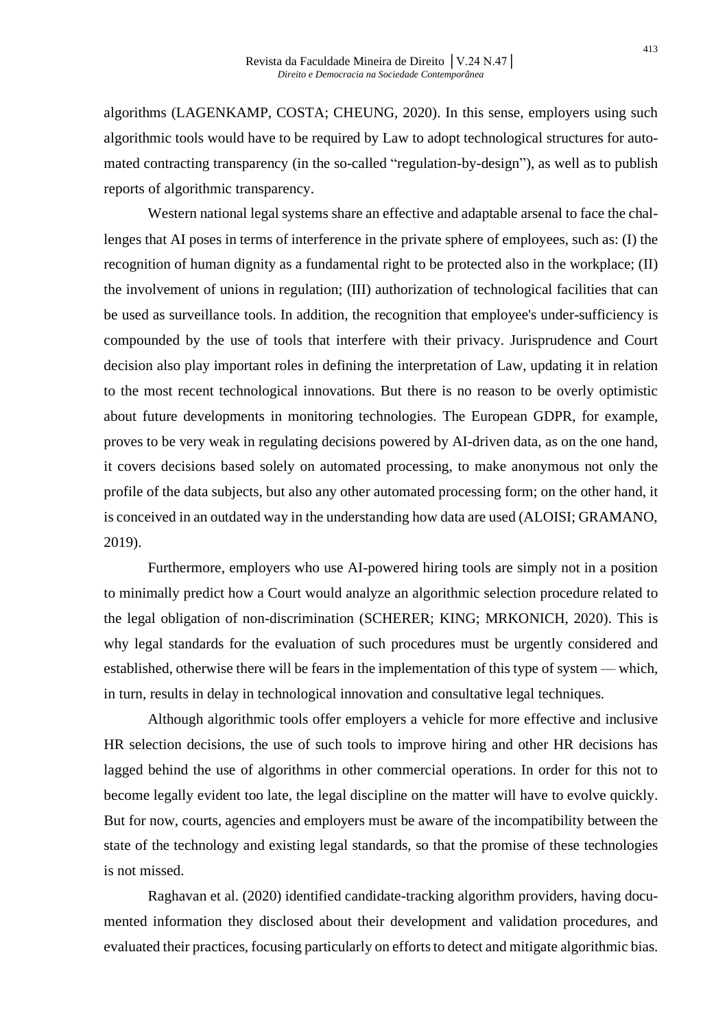algorithms (LAGENKAMP, COSTA; CHEUNG, 2020). In this sense, employers using such algorithmic tools would have to be required by Law to adopt technological structures for automated contracting transparency (in the so-called "regulation-by-design"), as well as to publish reports of algorithmic transparency.

Western national legal systems share an effective and adaptable arsenal to face the challenges that AI poses in terms of interference in the private sphere of employees, such as: (I) the recognition of human dignity as a fundamental right to be protected also in the workplace; (II) the involvement of unions in regulation; (III) authorization of technological facilities that can be used as surveillance tools. In addition, the recognition that employee's under-sufficiency is compounded by the use of tools that interfere with their privacy. Jurisprudence and Court decision also play important roles in defining the interpretation of Law, updating it in relation to the most recent technological innovations. But there is no reason to be overly optimistic about future developments in monitoring technologies. The European GDPR, for example, proves to be very weak in regulating decisions powered by AI-driven data, as on the one hand, it covers decisions based solely on automated processing, to make anonymous not only the profile of the data subjects, but also any other automated processing form; on the other hand, it is conceived in an outdated way in the understanding how data are used (ALOISI; GRAMANO, 2019).

Furthermore, employers who use AI-powered hiring tools are simply not in a position to minimally predict how a Court would analyze an algorithmic selection procedure related to the legal obligation of non-discrimination (SCHERER; KING; MRKONICH, 2020). This is why legal standards for the evaluation of such procedures must be urgently considered and established, otherwise there will be fears in the implementation of this type of system — which, in turn, results in delay in technological innovation and consultative legal techniques.

Although algorithmic tools offer employers a vehicle for more effective and inclusive HR selection decisions, the use of such tools to improve hiring and other HR decisions has lagged behind the use of algorithms in other commercial operations. In order for this not to become legally evident too late, the legal discipline on the matter will have to evolve quickly. But for now, courts, agencies and employers must be aware of the incompatibility between the state of the technology and existing legal standards, so that the promise of these technologies is not missed.

Raghavan et al. (2020) identified candidate-tracking algorithm providers, having documented information they disclosed about their development and validation procedures, and evaluated their practices, focusing particularly on efforts to detect and mitigate algorithmic bias.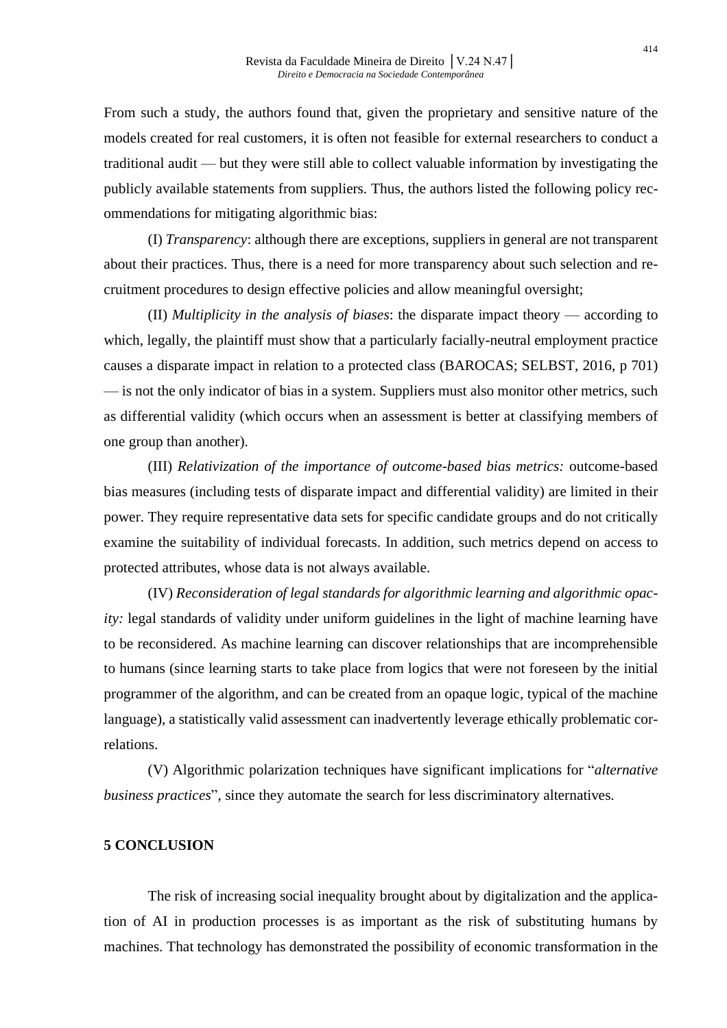From such a study, the authors found that, given the proprietary and sensitive nature of the models created for real customers, it is often not feasible for external researchers to conduct a traditional audit — but they were still able to collect valuable information by investigating the publicly available statements from suppliers. Thus, the authors listed the following policy recommendations for mitigating algorithmic bias:

(I) *Transparency*: although there are exceptions, suppliers in general are not transparent about their practices. Thus, there is a need for more transparency about such selection and recruitment procedures to design effective policies and allow meaningful oversight;

(II) *Multiplicity in the analysis of biases*: the disparate impact theory — according to which, legally, the plaintiff must show that a particularly facially-neutral employment practice causes a disparate impact in relation to a protected class (BAROCAS; SELBST, 2016, p 701) — is not the only indicator of bias in a system. Suppliers must also monitor other metrics, such as differential validity (which occurs when an assessment is better at classifying members of one group than another).

(III) *Relativization of the importance of outcome-based bias metrics:* outcome-based bias measures (including tests of disparate impact and differential validity) are limited in their power. They require representative data sets for specific candidate groups and do not critically examine the suitability of individual forecasts. In addition, such metrics depend on access to protected attributes, whose data is not always available.

(IV) *Reconsideration of legal standards for algorithmic learning and algorithmic opacity:* legal standards of validity under uniform guidelines in the light of machine learning have to be reconsidered. As machine learning can discover relationships that are incomprehensible to humans (since learning starts to take place from logics that were not foreseen by the initial programmer of the algorithm, and can be created from an opaque logic, typical of the machine language), a statistically valid assessment can inadvertently leverage ethically problematic correlations.

(V) Algorithmic polarization techniques have significant implications for "*alternative business practices*", since they automate the search for less discriminatory alternatives.

#### **5 CONCLUSION**

The risk of increasing social inequality brought about by digitalization and the application of AI in production processes is as important as the risk of substituting humans by machines. That technology has demonstrated the possibility of economic transformation in the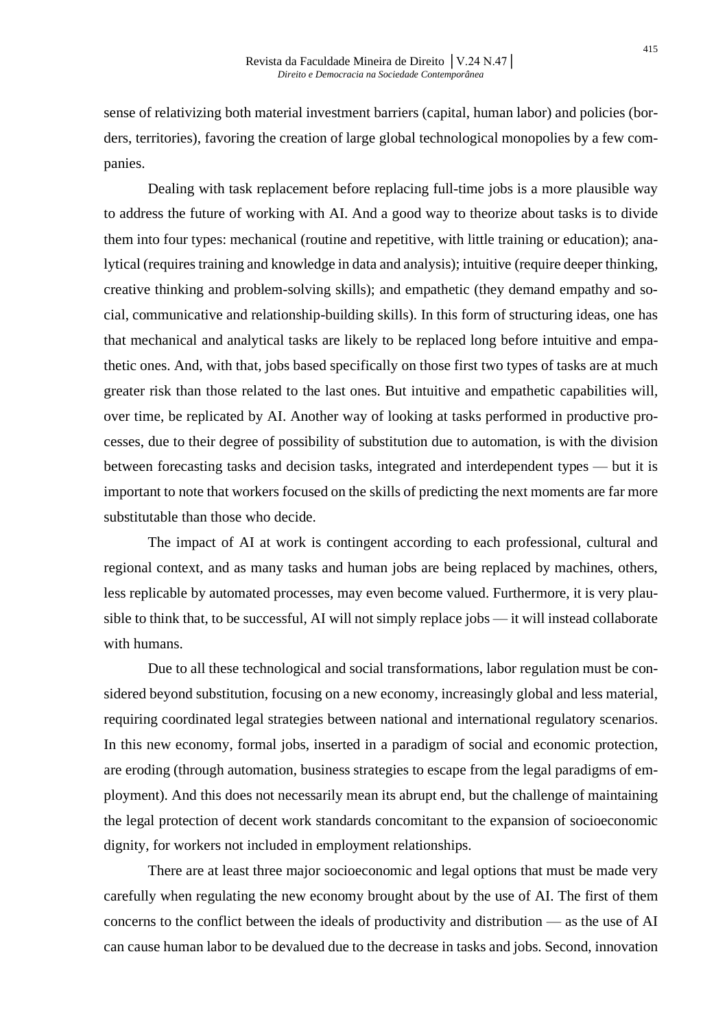sense of relativizing both material investment barriers (capital, human labor) and policies (borders, territories), favoring the creation of large global technological monopolies by a few companies.

Dealing with task replacement before replacing full-time jobs is a more plausible way to address the future of working with AI. And a good way to theorize about tasks is to divide them into four types: mechanical (routine and repetitive, with little training or education); analytical (requires training and knowledge in data and analysis); intuitive (require deeper thinking, creative thinking and problem-solving skills); and empathetic (they demand empathy and social, communicative and relationship-building skills). In this form of structuring ideas, one has that mechanical and analytical tasks are likely to be replaced long before intuitive and empathetic ones. And, with that, jobs based specifically on those first two types of tasks are at much greater risk than those related to the last ones. But intuitive and empathetic capabilities will, over time, be replicated by AI. Another way of looking at tasks performed in productive processes, due to their degree of possibility of substitution due to automation, is with the division between forecasting tasks and decision tasks, integrated and interdependent types — but it is important to note that workers focused on the skills of predicting the next moments are far more substitutable than those who decide.

The impact of AI at work is contingent according to each professional, cultural and regional context, and as many tasks and human jobs are being replaced by machines, others, less replicable by automated processes, may even become valued. Furthermore, it is very plausible to think that, to be successful, AI will not simply replace jobs — it will instead collaborate with humans.

Due to all these technological and social transformations, labor regulation must be considered beyond substitution, focusing on a new economy, increasingly global and less material, requiring coordinated legal strategies between national and international regulatory scenarios. In this new economy, formal jobs, inserted in a paradigm of social and economic protection, are eroding (through automation, business strategies to escape from the legal paradigms of employment). And this does not necessarily mean its abrupt end, but the challenge of maintaining the legal protection of decent work standards concomitant to the expansion of socioeconomic dignity, for workers not included in employment relationships.

There are at least three major socioeconomic and legal options that must be made very carefully when regulating the new economy brought about by the use of AI. The first of them concerns to the conflict between the ideals of productivity and distribution — as the use of AI can cause human labor to be devalued due to the decrease in tasks and jobs. Second, innovation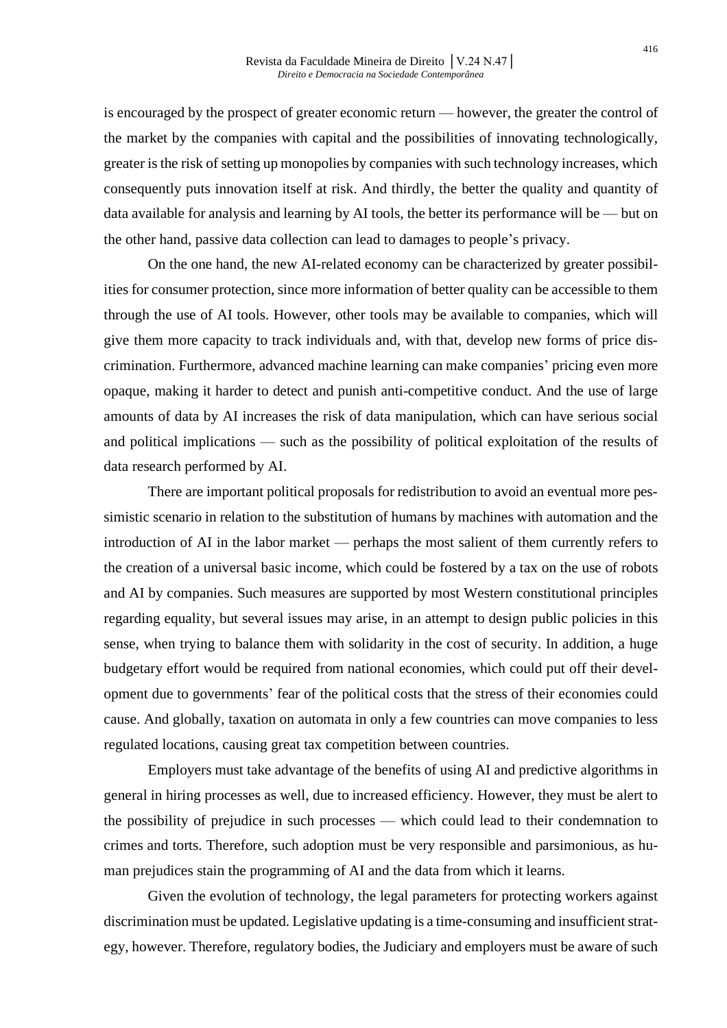is encouraged by the prospect of greater economic return — however, the greater the control of the market by the companies with capital and the possibilities of innovating technologically, greater is the risk of setting up monopolies by companies with such technology increases, which consequently puts innovation itself at risk. And thirdly, the better the quality and quantity of data available for analysis and learning by AI tools, the better its performance will be — but on the other hand, passive data collection can lead to damages to people's privacy.

On the one hand, the new AI-related economy can be characterized by greater possibilities for consumer protection, since more information of better quality can be accessible to them through the use of AI tools. However, other tools may be available to companies, which will give them more capacity to track individuals and, with that, develop new forms of price discrimination. Furthermore, advanced machine learning can make companies' pricing even more opaque, making it harder to detect and punish anti-competitive conduct. And the use of large amounts of data by AI increases the risk of data manipulation, which can have serious social and political implications — such as the possibility of political exploitation of the results of data research performed by AI.

There are important political proposals for redistribution to avoid an eventual more pessimistic scenario in relation to the substitution of humans by machines with automation and the introduction of AI in the labor market — perhaps the most salient of them currently refers to the creation of a universal basic income, which could be fostered by a tax on the use of robots and AI by companies. Such measures are supported by most Western constitutional principles regarding equality, but several issues may arise, in an attempt to design public policies in this sense, when trying to balance them with solidarity in the cost of security. In addition, a huge budgetary effort would be required from national economies, which could put off their development due to governments' fear of the political costs that the stress of their economies could cause. And globally, taxation on automata in only a few countries can move companies to less regulated locations, causing great tax competition between countries.

Employers must take advantage of the benefits of using AI and predictive algorithms in general in hiring processes as well, due to increased efficiency. However, they must be alert to the possibility of prejudice in such processes — which could lead to their condemnation to crimes and torts. Therefore, such adoption must be very responsible and parsimonious, as human prejudices stain the programming of AI and the data from which it learns.

Given the evolution of technology, the legal parameters for protecting workers against discrimination must be updated. Legislative updating is a time-consuming and insufficient strategy, however. Therefore, regulatory bodies, the Judiciary and employers must be aware of such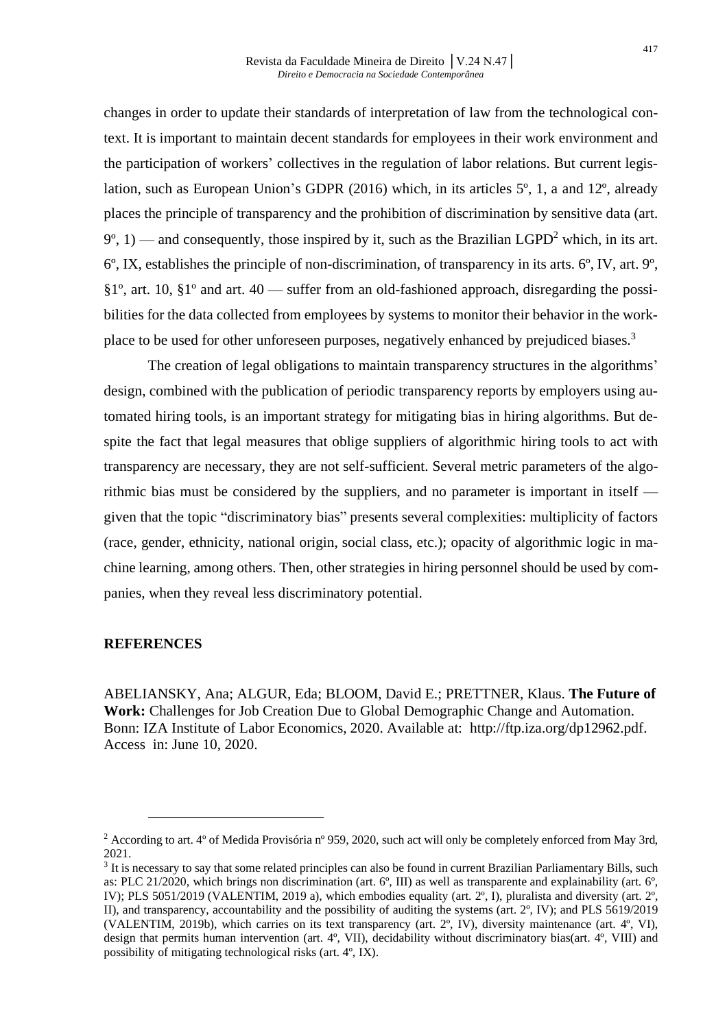changes in order to update their standards of interpretation of law from the technological context. It is important to maintain decent standards for employees in their work environment and the participation of workers' collectives in the regulation of labor relations. But current legislation, such as European Union's GDPR (2016) which, in its articles 5º, 1, a and 12º, already places the principle of transparency and the prohibition of discrimination by sensitive data (art.  $9^{\circ}$ , 1) — and consequently, those inspired by it, such as the Brazilian LGPD<sup>2</sup> which, in its art. 6º, IX, establishes the principle of non-discrimination, of transparency in its arts. 6º, IV, art. 9º, §1º, art. 10, §1º and art. 40 — suffer from an old-fashioned approach, disregarding the possibilities for the data collected from employees by systems to monitor their behavior in the workplace to be used for other unforeseen purposes, negatively enhanced by prejudiced biases.<sup>3</sup>

The creation of legal obligations to maintain transparency structures in the algorithms' design, combined with the publication of periodic transparency reports by employers using automated hiring tools, is an important strategy for mitigating bias in hiring algorithms. But despite the fact that legal measures that oblige suppliers of algorithmic hiring tools to act with transparency are necessary, they are not self-sufficient. Several metric parameters of the algorithmic bias must be considered by the suppliers, and no parameter is important in itself given that the topic "discriminatory bias" presents several complexities: multiplicity of factors (race, gender, ethnicity, national origin, social class, etc.); opacity of algorithmic logic in machine learning, among others. Then, other strategies in hiring personnel should be used by companies, when they reveal less discriminatory potential.

## **REFERENCES**

ABELIANSKY, Ana; ALGUR, Eda; BLOOM, David E.; PRETTNER, Klaus. **The Future of Work:** Challenges for Job Creation Due to Global Demographic Change and Automation. Bonn: IZA Institute of Labor Economics, 2020. Available at: [http://ftp.iza.org/dp12962.pdf.](http://ftp.iza.org/dp12962.pdf) Access in: June 10, 2020.

<sup>2</sup> According to art. 4º of Medida Provisória nº 959, 2020, such act will only be completely enforced from May 3rd, 2021.

 $3$  It is necessary to say that some related principles can also be found in current Brazilian Parliamentary Bills, such as: PLC 21/2020, which brings non discrimination (art.  $6^\circ$ , III) as well as transparente and explainability (art.  $6^\circ$ , IV); PLS 5051/2019 (VALENTIM, 2019 a), which embodies equality (art. 2º, I), pluralista and diversity (art. 2º, II), and transparency, accountability and the possibility of auditing the systems (art. 2º, IV); and PLS 5619/2019 (VALENTIM, 2019b), which carries on its text transparency (art. 2º, IV), diversity maintenance (art. 4º, VI), design that permits human intervention (art. 4º, VII), decidability without discriminatory bias(art. 4º, VIII) and possibility of mitigating technological risks (art. 4º, IX).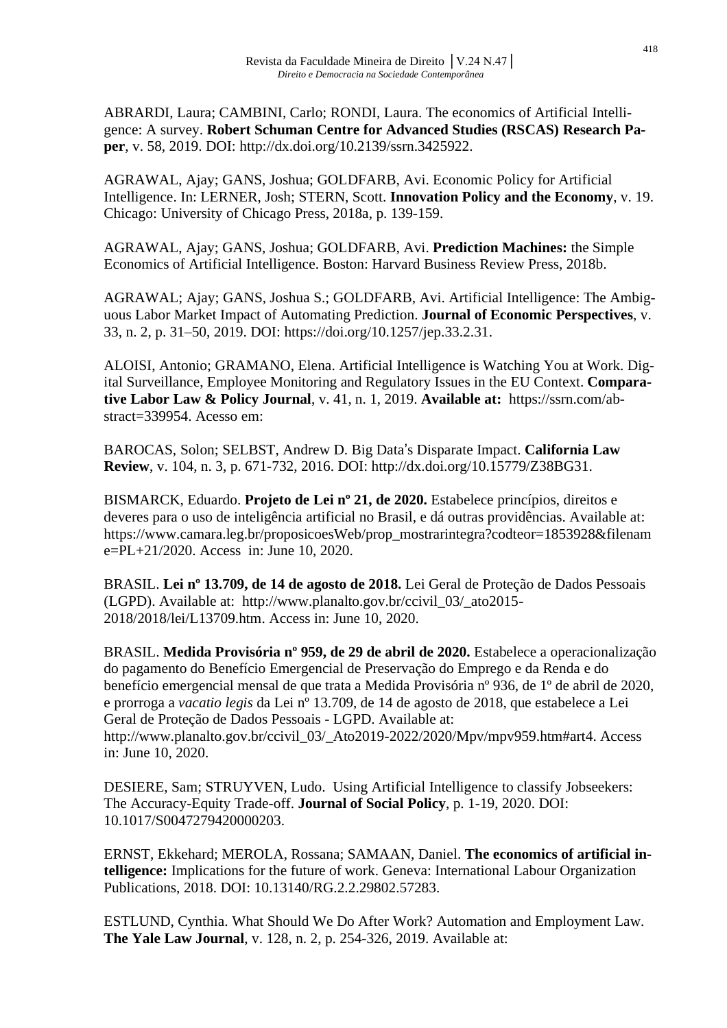ABRARDI, Laura; CAMBINI, Carlo; RONDI, Laura. The economics of Artificial Intelligence: A survey. **Robert Schuman Centre for Advanced Studies (RSCAS) Research Paper**, v. 58, 2019. DOI: [http://dx.doi.org/10.2139/ssrn.3425922.](http://dx.doi.org/10.2139/ssrn.3425922)

AGRAWAL, Ajay; GANS, Joshua; GOLDFARB, Avi. Economic Policy for Artificial Intelligence. In: LERNER, Josh; STERN, Scott. **Innovation Policy and the Economy**, v. 19. Chicago: University of Chicago Press, 2018a, p. 139-159.

AGRAWAL, Ajay; GANS, Joshua; GOLDFARB, Avi. **Prediction Machines:** the Simple Economics of Artificial Intelligence. Boston: Harvard Business Review Press, 2018b.

AGRAWAL; Ajay; GANS, Joshua S.; GOLDFARB, Avi. Artificial Intelligence: The Ambiguous Labor Market Impact of Automating Prediction. **Journal of Economic Perspectives**, v. 33, n. 2, p. 31–50, 2019. DOI: [https://doi.org/10.1257/jep.33.2.31.](https://doi.org/10.1257/jep.33.2.31)

ALOISI, Antonio; GRAMANO, Elena. Artificial Intelligence is Watching You at Work. Digital Surveillance, Employee Monitoring and Regulatory Issues in the EU Context. **Comparative Labor Law & Policy Journal**, v. 41, n. 1, 2019. **Available at:** [https://ssrn.com/ab](https://ssrn.com/abstract=339954)[stract=339954.](https://ssrn.com/abstract=339954) Acesso em:

BAROCAS, Solon; SELBST, Andrew D. Big Data's Disparate Impact. **California Law Review**, v. 104, n. 3, p. 671-732, 2016. DOI: [http://dx.doi.org/10.15779/Z38BG31.](http://dx.doi.org/10.15779/Z38BG31)

BISMARCK, Eduardo. **Projeto de Lei nº 21, de 2020.** Estabelece princípios, direitos e deveres para o uso de inteligência artificial no Brasil, e dá outras providências. Available at: [https://www.camara.leg.br/proposicoesWeb/prop\\_mostrarintegra?codteor=1853928&filenam](https://www.camara.leg.br/proposicoesWeb/prop_mostrarintegra?codteor=1853928&filename=PL+21/2020) [e=PL+21/2020.](https://www.camara.leg.br/proposicoesWeb/prop_mostrarintegra?codteor=1853928&filename=PL+21/2020) Access in: June 10, 2020.

BRASIL. **Lei nº 13.709, de 14 de agosto de 2018.** Lei Geral de Proteção de Dados Pessoais (LGPD). Available at: [http://www.planalto.gov.br/ccivil\\_03/\\_ato2015-](http://www.planalto.gov.br/ccivil_03/_ato2015-2018/2018/lei/L13709.htm) [2018/2018/lei/L13709.htm.](http://www.planalto.gov.br/ccivil_03/_ato2015-2018/2018/lei/L13709.htm) Access in: June 10, 2020.

BRASIL. **Medida Provisória nº 959, de 29 de abril de 2020.** Estabelece a operacionalização do pagamento do Benefício Emergencial de Preservação do Emprego e da Renda e do benefício emergencial mensal de que trata a Medida Provisória nº 936, de 1º de abril de 2020, e prorroga a *vacatio legis* da Lei nº 13.709, de 14 de agosto de 2018, que estabelece a Lei Geral de Proteção de Dados Pessoais - LGPD. Available at: [http://www.planalto.gov.br/ccivil\\_03/\\_Ato2019-2022/2020/Mpv/mpv959.htm#art4.](http://www.planalto.gov.br/ccivil_03/_Ato2019-2022/2020/Mpv/mpv959.htm%23art4) Access in: June 10, 2020.

DESIERE, Sam; STRUYVEN, Ludo. Using Artificial Intelligence to classify Jobseekers: The Accuracy-Equity Trade-off. **Journal of Social Policy**, p. 1-19, 2020. DOI: 10.1017/S0047279420000203.

ERNST, Ekkehard; MEROLA, Rossana; SAMAAN, Daniel. **The economics of artificial intelligence:** Implications for the future of work. Geneva: International Labour Organization Publications, 2018. DOI: 10.13140/RG.2.2.29802.57283.

ESTLUND, Cynthia. What Should We Do After Work? Automation and Employment Law. **The Yale Law Journal**, v. 128, n. 2, p. 254-326, 2019. Available at: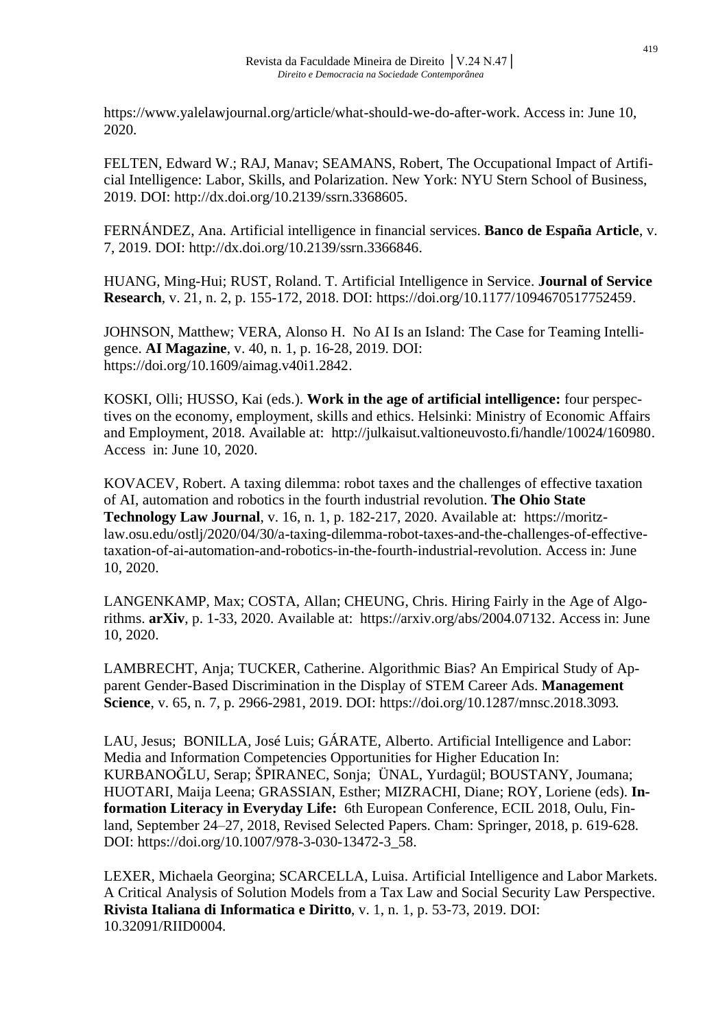[https://www.yalelawjournal.org/article/what-should-we-do-after-work.](https://www.yalelawjournal.org/article/what-should-we-do-after-work) Access in: June 10, 2020.

FELTEN, Edward W.; RAJ, Manav; SEAMANS, Robert, The Occupational Impact of Artificial Intelligence: Labor, Skills, and Polarization. New York: NYU Stern School of Business, 2019. DOI: [http://dx.doi.org/10.2139/ssrn.3368605.](http://dx.doi.org/10.2139/ssrn.3368605)

FERNÁNDEZ, Ana. Artificial intelligence in financial services. **Banco de España Article**, v. 7, 2019. DOI: [http://dx.doi.org/10.2139/ssrn.3366846.](http://dx.doi.org/10.2139/ssrn.3366846)

HUANG, Ming-Hui; RUST, Roland. T. Artificial Intelligence in Service. **Journal of Service Research**, v. 21, n. 2, p. 155-172, 2018. DOI: [https://doi.org/10.1177/1094670517752459.](https://doi.org/10.1177/1094670517752459)

JOHNSON, Matthew; VERA, Alonso H. No AI Is an Island: The Case for Teaming Intelligence. **AI Magazine**, v. 40, n. 1, p. 16-28, 2019. DOI: [https://doi.org/10.1609/aimag.v40i1.2842.](https://doi.org/10.1609/aimag.v40i1.2842)

KOSKI, Olli; HUSSO, Kai (eds.). **Work in the age of artificial intelligence:** four perspectives on the economy, employment, skills and ethics. Helsinki: Ministry of Economic Affairs and Employment, 2018. Available at: [http://julkaisut.valtioneuvosto.fi/handle/10024/160980.](http://julkaisut.valtioneuvosto.fi/handle/10024/160980) Access in: June 10, 2020.

KOVACEV, Robert. A taxing dilemma: robot taxes and the challenges of effective taxation of AI, automation and robotics in the fourth industrial revolution. **The Ohio State Technology Law Journal**, v. 16, n. 1, p. 182-217, 2020. Available at: [https://moritz](https://moritzlaw.osu.edu/ostlj/2020/04/30/a-taxing-dilemma-robot-taxes-and-the-challenges-of-effective-taxation-of-ai-automation-and-robotics-in-the-fourth-industrial-revolution)[law.osu.edu/ostlj/2020/04/30/a-taxing-dilemma-robot-taxes-and-the-challenges-of-effective](https://moritzlaw.osu.edu/ostlj/2020/04/30/a-taxing-dilemma-robot-taxes-and-the-challenges-of-effective-taxation-of-ai-automation-and-robotics-in-the-fourth-industrial-revolution)[taxation-of-ai-automation-and-robotics-in-the-fourth-industrial-revolution.](https://moritzlaw.osu.edu/ostlj/2020/04/30/a-taxing-dilemma-robot-taxes-and-the-challenges-of-effective-taxation-of-ai-automation-and-robotics-in-the-fourth-industrial-revolution) Access in: June 10, 2020.

LANGENKAMP, Max; COSTA, Allan; CHEUNG, Chris. Hiring Fairly in the Age of Algorithms. **arXiv**, p. 1-33, 2020. Available at: [https://arxiv.org/abs/2004.07132.](https://arxiv.org/abs/2004.07132) Access in: June 10, 2020.

LAMBRECHT, Anja; TUCKER, Catherine. Algorithmic Bias? An Empirical Study of Apparent Gender-Based Discrimination in the Display of STEM Career Ads. **Management Science**, v. 65, n. 7, p. 2966-2981, 2019. DOI: [https://doi.org/10.1287/mnsc.2018.3093.](https://doi.org/10.1287/mnsc.2018.3093)

LAU, Jesus; BONILLA, José Luis; GÁRATE, Alberto. Artificial Intelligence and Labor: Media and Information Competencies Opportunities for Higher Education In: KURBANOĞLU, Serap; ŠPIRANEC, Sonja; ÜNAL, Yurdagül; BOUSTANY, Joumana; HUOTARI, Maija Leena; GRASSIAN, Esther; MIZRACHI, Diane; ROY, Loriene (eds). **Information Literacy in Everyday Life:** 6th European Conference, ECIL 2018, Oulu, Finland, September 24–27, 2018, Revised Selected Papers. Cham: Springer, 2018, p. 619-628. DOI: [https://doi.org/10.1007/978-3-030-13472-3\\_58.](https://doi.org/10.1007/978-3-030-13472-3_58)

LEXER, Michaela Georgina; SCARCELLA, Luisa. Artificial Intelligence and Labor Markets. A Critical Analysis of Solution Models from a Tax Law and Social Security Law Perspective. **Rivista Italiana di Informatica e Diritto**, v. 1, n. 1, p. 53-73, 2019. DOI: 10.32091/RIID0004.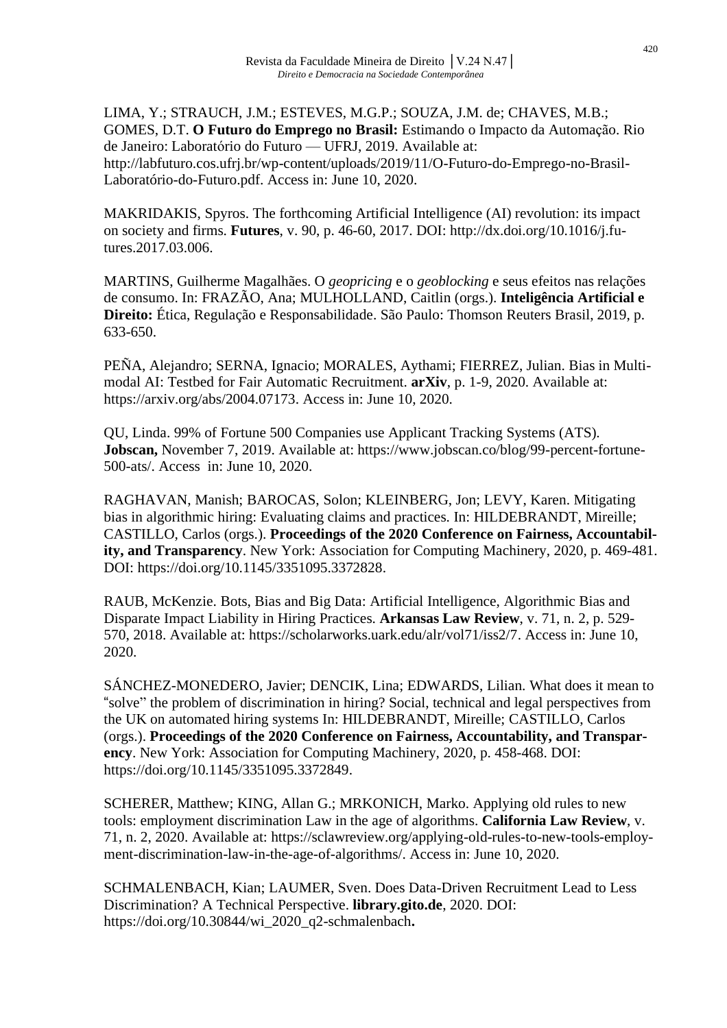LIMA, Y.; STRAUCH, J.M.; ESTEVES, M.G.P.; SOUZA, J.M. de; CHAVES, M.B.; GOMES, D.T. **O Futuro do Emprego no Brasil:** Estimando o Impacto da Automação. Rio de Janeiro: Laboratório do Futuro — UFRJ, 2019. Available at: [http://labfuturo.cos.ufrj.br/wp-content/uploads/2019/11/O-Futuro-do-Emprego-no-Brasil-](http://labfuturo.cos.ufrj.br/wp-content/uploads/2019/11/O-Futuro-do-Emprego-no-Brasil-Laborat%25C3%25B3rio-do-Futuro.pdf)[Laboratório-do-Futuro.pdf.](http://labfuturo.cos.ufrj.br/wp-content/uploads/2019/11/O-Futuro-do-Emprego-no-Brasil-Laborat%25C3%25B3rio-do-Futuro.pdf) Access in: June 10, 2020.

MAKRIDAKIS, Spyros. The forthcoming Artificial Intelligence (AI) revolution: its impact on society and firms. **Futures**, v. 90, p. 46-60, 2017. DOI: [http://dx.doi.org/10.1016/j.fu](http://dx.doi.org/10.1016/j.futures.2017.03.006)[tures.2017.03.006.](http://dx.doi.org/10.1016/j.futures.2017.03.006)

MARTINS, Guilherme Magalhães. O *geopricing* e o *geoblocking* e seus efeitos nas relações de consumo. In: FRAZÃO, Ana; MULHOLLAND, Caitlin (orgs.). **Inteligência Artificial e Direito:** Ética, Regulação e Responsabilidade. São Paulo: Thomson Reuters Brasil, 2019, p. 633-650.

PEÑA, Alejandro; SERNA, Ignacio; MORALES, Aythami; FIERREZ, Julian. Bias in Multimodal AI: Testbed for Fair Automatic Recruitment. **arXiv**, p. 1-9, 2020. Available at: [https://arxiv.org/abs/2004.07173.](https://arxiv.org/abs/2004.07173) Access in: June 10, 2020.

QU, Linda. 99% of Fortune 500 Companies use Applicant Tracking Systems (ATS). **Jobscan,** November 7, 2019. Available at: [https://www.jobscan.co/blog/99-percent-fortune-](https://www.jobscan.co/blog/99-percent-fortune-500-ats/)[500-ats/.](https://www.jobscan.co/blog/99-percent-fortune-500-ats/) Access in: June 10, 2020.

RAGHAVAN, Manish; BAROCAS, Solon; KLEINBERG, Jon; LEVY, Karen. Mitigating bias in algorithmic hiring: Evaluating claims and practices. In: HILDEBRANDT, Mireille; CASTILLO, Carlos (orgs.). **Proceedings of the 2020 Conference on Fairness, Accountability, and Transparency**. New York: Association for Computing Machinery, 2020, p. 469-481. DOI: [https://doi.org/10.1145/3351095.3372828.](https://doi.org/10.1145/3351095.3372828)

RAUB, McKenzie. Bots, Bias and Big Data: Artificial Intelligence, Algorithmic Bias and Disparate Impact Liability in Hiring Practices. **Arkansas Law Review**, v. 71, n. 2, p. 529- 570, 2018. Available at: [https://scholarworks.uark.edu/alr/vol71/iss2/7.](https://scholarworks.uark.edu/alr/vol71/iss2/7) Access in: June 10, 2020.

SÁNCHEZ-MONEDERO, Javier; DENCIK, Lina; EDWARDS, Lilian. What does it mean to "solve" the problem of discrimination in hiring? Social, technical and legal perspectives from the UK on automated hiring systems In: HILDEBRANDT, Mireille; CASTILLO, Carlos (orgs.). **Proceedings of the 2020 Conference on Fairness, Accountability, and Transparency**. New York: Association for Computing Machinery, 2020, p. 458-468. DOI: [https://doi.org/10.1145/3351095.3372849.](https://doi.org/10.1145/3351095.3372849)

SCHERER, Matthew; KING, Allan G.; MRKONICH, Marko. Applying old rules to new tools: employment discrimination Law in the age of algorithms. **California Law Review**, v. 71, n. 2, 2020. Available at: [https://sclawreview.org/applying-old-rules-to-new-tools-employ](https://sclawreview.org/applying-old-rules-to-new-tools-employment-discrimination-law-in-the-age-of-algorithms/)[ment-discrimination-law-in-the-age-of-algorithms/.](https://sclawreview.org/applying-old-rules-to-new-tools-employment-discrimination-law-in-the-age-of-algorithms/) Access in: June 10, 2020.

SCHMALENBACH, Kian; LAUMER, Sven. Does Data-Driven Recruitment Lead to Less Discrimination? A Technical Perspective. **library.gito.de**, 2020. DOI: [https://doi.org/10.30844/wi\\_2020\\_q2-schmalenbach](https://doi.org/10.30844/wi_2020_q2-schmalenbach)**.**